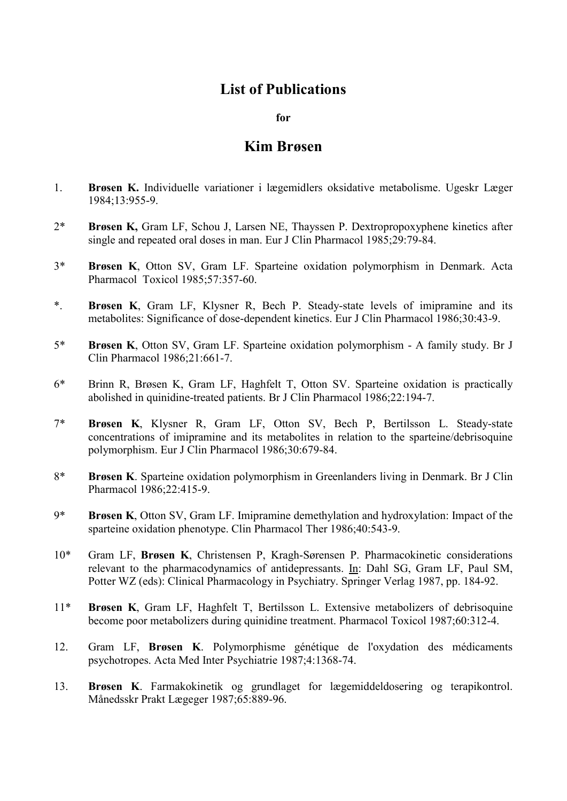## List of Publications

for

## Kim Brøsen

- 1. Brøsen K. Individuelle variationer i lægemidlers oksidative metabolisme. Ugeskr Læger 1984;13:955-9.
- 2\* Brøsen K, Gram LF, Schou J, Larsen NE, Thayssen P. Dextropropoxyphene kinetics after single and repeated oral doses in man. Eur J Clin Pharmacol 1985;29:79-84.
- 3\* Brøsen K, Otton SV, Gram LF. Sparteine oxidation polymorphism in Denmark. Acta Pharmacol Toxicol 1985;57:357-60.
- \*. Brøsen K, Gram LF, Klysner R, Bech P. Steady-state levels of imipramine and its metabolites: Significance of dose-dependent kinetics. Eur J Clin Pharmacol 1986;30:43-9.
- 5\* Brøsen K, Otton SV, Gram LF. Sparteine oxidation polymorphism A family study. Br J Clin Pharmacol 1986;21:661-7.
- 6\* Brinn R, Brøsen K, Gram LF, Haghfelt T, Otton SV. Sparteine oxidation is practically abolished in quinidine-treated patients. Br J Clin Pharmacol 1986;22:194-7.
- 7\* Brøsen K, Klysner R, Gram LF, Otton SV, Bech P, Bertilsson L. Steady-state concentrations of imipramine and its metabolites in relation to the sparteine/debrisoquine polymorphism. Eur J Clin Pharmacol 1986;30:679-84.
- 8\* Brøsen K. Sparteine oxidation polymorphism in Greenlanders living in Denmark. Br J Clin Pharmacol 1986;22:415-9.
- 9\* Brøsen K, Otton SV, Gram LF. Imipramine demethylation and hydroxylation: Impact of the sparteine oxidation phenotype. Clin Pharmacol Ther 1986;40:543-9.
- 10\* Gram LF, Brøsen K, Christensen P, Kragh-Sørensen P. Pharmacokinetic considerations relevant to the pharmacodynamics of antidepressants. In: Dahl SG, Gram LF, Paul SM, Potter WZ (eds): Clinical Pharmacology in Psychiatry. Springer Verlag 1987, pp. 184-92.
- 11\* Brøsen K, Gram LF, Haghfelt T, Bertilsson L. Extensive metabolizers of debrisoquine become poor metabolizers during quinidine treatment. Pharmacol Toxicol 1987;60:312-4.
- 12. Gram LF, Brøsen K. Polymorphisme génétique de l'oxydation des médicaments psychotropes. Acta Med Inter Psychiatrie 1987;4:1368-74.
- 13. Brøsen K. Farmakokinetik og grundlaget for lægemiddeldosering og terapikontrol. Månedsskr Prakt Lægeger 1987;65:889-96.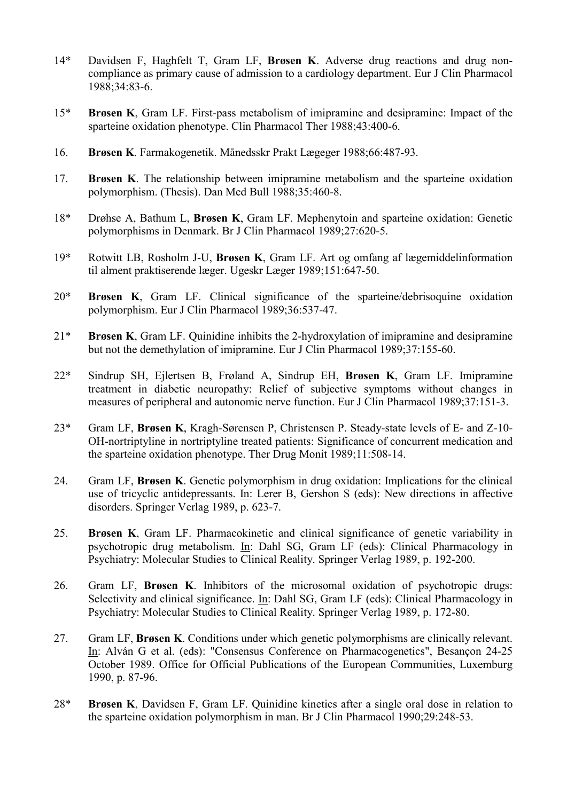- 14\* Davidsen F, Haghfelt T, Gram LF, Brøsen K. Adverse drug reactions and drug noncompliance as primary cause of admission to a cardiology department. Eur J Clin Pharmacol 1988;34:83-6.
- 15\* Brøsen K, Gram LF. First-pass metabolism of imipramine and desipramine: Impact of the sparteine oxidation phenotype. Clin Pharmacol Ther 1988;43:400-6.
- 16. Brøsen K. Farmakogenetik. Månedsskr Prakt Lægeger 1988;66:487-93.
- 17. Brøsen K. The relationship between imipramine metabolism and the sparteine oxidation polymorphism. (Thesis). Dan Med Bull 1988;35:460-8.
- 18\* Drøhse A, Bathum L, Brøsen K, Gram LF. Mephenytoin and sparteine oxidation: Genetic polymorphisms in Denmark. Br J Clin Pharmacol 1989;27:620-5.
- 19\* Rotwitt LB, Rosholm J-U, Brøsen K, Gram LF. Art og omfang af lægemiddelinformation til alment praktiserende læger. Ugeskr Læger 1989;151:647-50.
- 20\* Brøsen K, Gram LF. Clinical significance of the sparteine/debrisoquine oxidation polymorphism. Eur J Clin Pharmacol 1989;36:537-47.
- 21\* Brøsen K, Gram LF. Quinidine inhibits the 2-hydroxylation of imipramine and desipramine but not the demethylation of imipramine. Eur J Clin Pharmacol 1989;37:155-60.
- 22\* Sindrup SH, Ejlertsen B, Frøland A, Sindrup EH, Brøsen K, Gram LF. Imipramine treatment in diabetic neuropathy: Relief of subjective symptoms without changes in measures of peripheral and autonomic nerve function. Eur J Clin Pharmacol 1989;37:151-3.
- 23\* Gram LF, Brøsen K, Kragh-Sørensen P, Christensen P. Steady-state levels of E- and Z-10- OH-nortriptyline in nortriptyline treated patients: Significance of concurrent medication and the sparteine oxidation phenotype. Ther Drug Monit 1989;11:508-14.
- 24. Gram LF, Brøsen K. Genetic polymorphism in drug oxidation: Implications for the clinical use of tricyclic antidepressants. In: Lerer B, Gershon S (eds): New directions in affective disorders. Springer Verlag 1989, p. 623-7.
- 25. Brøsen K, Gram LF. Pharmacokinetic and clinical significance of genetic variability in psychotropic drug metabolism. In: Dahl SG, Gram LF (eds): Clinical Pharmacology in Psychiatry: Molecular Studies to Clinical Reality. Springer Verlag 1989, p. 192-200.
- 26. Gram LF, Brøsen K. Inhibitors of the microsomal oxidation of psychotropic drugs: Selectivity and clinical significance. In: Dahl SG, Gram LF (eds): Clinical Pharmacology in Psychiatry: Molecular Studies to Clinical Reality. Springer Verlag 1989, p. 172-80.
- 27. Gram LF, Brøsen K. Conditions under which genetic polymorphisms are clinically relevant. In: Alván G et al. (eds): "Consensus Conference on Pharmacogenetics", Besançon 24-25 October 1989. Office for Official Publications of the European Communities, Luxemburg 1990, p. 87-96.
- 28\* Brøsen K, Davidsen F, Gram LF. Quinidine kinetics after a single oral dose in relation to the sparteine oxidation polymorphism in man. Br J Clin Pharmacol 1990;29:248-53.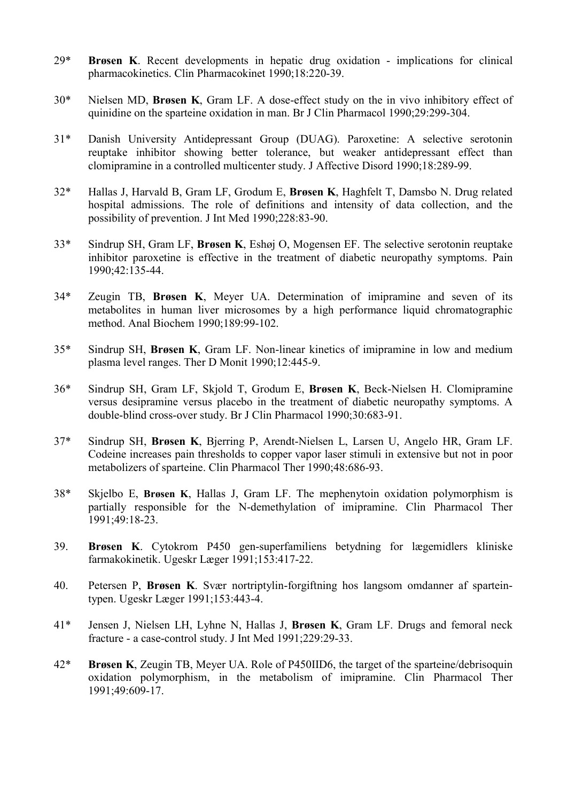- 29\* Brøsen K. Recent developments in hepatic drug oxidation implications for clinical pharmacokinetics. Clin Pharmacokinet 1990;18:220-39.
- 30\* Nielsen MD, Brøsen K, Gram LF. A dose-effect study on the in vivo inhibitory effect of quinidine on the sparteine oxidation in man. Br J Clin Pharmacol 1990;29:299-304.
- 31\* Danish University Antidepressant Group (DUAG). Paroxetine: A selective serotonin reuptake inhibitor showing better tolerance, but weaker antidepressant effect than clomipramine in a controlled multicenter study. J Affective Disord 1990;18:289-99.
- 32\* Hallas J, Harvald B, Gram LF, Grodum E, Brøsen K, Haghfelt T, Damsbo N. Drug related hospital admissions. The role of definitions and intensity of data collection, and the possibility of prevention. J Int Med 1990;228:83-90.
- 33\* Sindrup SH, Gram LF, Brøsen K, Eshøj O, Mogensen EF. The selective serotonin reuptake inhibitor paroxetine is effective in the treatment of diabetic neuropathy symptoms. Pain 1990;42:135-44.
- 34\* Zeugin TB, Brøsen K, Meyer UA. Determination of imipramine and seven of its metabolites in human liver microsomes by a high performance liquid chromatographic method. Anal Biochem 1990;189:99-102.
- 35\* Sindrup SH, Brøsen K, Gram LF. Non-linear kinetics of imipramine in low and medium plasma level ranges. Ther D Monit 1990;12:445-9.
- 36\* Sindrup SH, Gram LF, Skjold T, Grodum E, Brøsen K, Beck-Nielsen H. Clomipramine versus desipramine versus placebo in the treatment of diabetic neuropathy symptoms. A double-blind cross-over study. Br J Clin Pharmacol 1990;30:683-91.
- 37\* Sindrup SH, Brøsen K, Bjerring P, Arendt-Nielsen L, Larsen U, Angelo HR, Gram LF. Codeine increases pain thresholds to copper vapor laser stimuli in extensive but not in poor metabolizers of sparteine. Clin Pharmacol Ther 1990;48:686-93.
- 38\* Skjelbo E, Brøsen K, Hallas J, Gram LF. The mephenytoin oxidation polymorphism is partially responsible for the N-demethylation of imipramine. Clin Pharmacol Ther 1991;49:18-23.
- 39. Brøsen K. Cytokrom P450 gen-superfamiliens betydning for lægemidlers kliniske farmakokinetik. Ugeskr Læger 1991;153:417-22.
- 40. Petersen P, Brøsen K. Svær nortriptylin-forgiftning hos langsom omdanner af sparteintypen. Ugeskr Læger 1991;153:443-4.
- 41\* Jensen J, Nielsen LH, Lyhne N, Hallas J, Brøsen K, Gram LF. Drugs and femoral neck fracture - a case-control study. J Int Med 1991;229:29-33.
- 42\* Brøsen K, Zeugin TB, Meyer UA. Role of P450IID6, the target of the sparteine/debrisoquin oxidation polymorphism, in the metabolism of imipramine. Clin Pharmacol Ther 1991;49:609-17.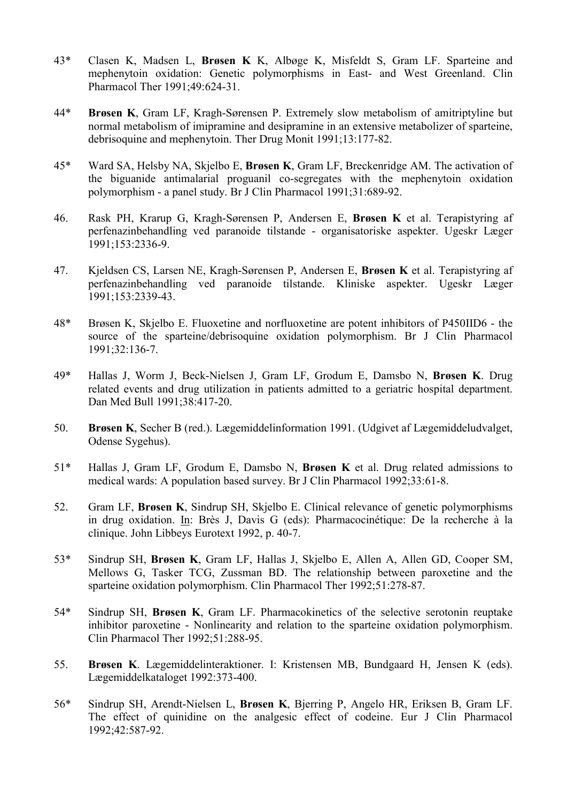- 43\* Clasen K, Madsen L, Brøsen K K, Albøge K, Misfeldt S, Gram LF. Sparteine and mephenytoin oxidation: Genetic polymorphisms in East- and West Greenland. Clin Pharmacol Ther 1991;49:624-31.
- 44\* Brøsen K, Gram LF, Kragh-Sørensen P. Extremely slow metabolism of amitriptyline but normal metabolism of imipramine and desipramine in an extensive metabolizer of sparteine, debrisoquine and mephenytoin. Ther Drug Monit 1991;13:177-82.
- 45\* Ward SA, Helsby NA, Skjelbo E, Brøsen K, Gram LF, Breckenridge AM. The activation of the biguanide antimalarial proguanil co-segregates with the mephenytoin oxidation polymorphism - a panel study. Br J Clin Pharmacol 1991;31:689-92.
- 46. Rask PH, Krarup G, Kragh-Sørensen P, Andersen E, Brøsen K et al. Terapistyring af perfenazinbehandling ved paranoide tilstande - organisatoriske aspekter. Ugeskr Læger 1991;153:2336-9.
- 47. Kjeldsen CS, Larsen NE, Kragh-Sørensen P, Andersen E, Brøsen K et al. Terapistyring af perfenazinbehandling ved paranoide tilstande. Kliniske aspekter. Ugeskr Læger 1991;153:2339-43.
- 48\* Brøsen K, Skjelbo E. Fluoxetine and norfluoxetine are potent inhibitors of P450IID6 the source of the sparteine/debrisoquine oxidation polymorphism. Br J Clin Pharmacol 1991;32:136-7.
- 49\* Hallas J, Worm J, Beck-Nielsen J, Gram LF, Grodum E, Damsbo N, Brøsen K. Drug related events and drug utilization in patients admitted to a geriatric hospital department. Dan Med Bull 1991;38:417-20.
- 50. Brøsen K, Secher B (red.). Lægemiddelinformation 1991. (Udgivet af Lægemiddeludvalget, Odense Sygehus).
- 51\* Hallas J, Gram LF, Grodum E, Damsbo N, Brøsen K et al. Drug related admissions to medical wards: A population based survey. Br J Clin Pharmacol 1992;33:61-8.
- 52. Gram LF, Brøsen K, Sindrup SH, Skjelbo E. Clinical relevance of genetic polymorphisms in drug oxidation. In: Brès J, Davis G (eds): Pharmacocinétique: De la recherche à la clinique. John Libbeys Eurotext 1992, p. 40-7.
- 53\* Sindrup SH, Brøsen K, Gram LF, Hallas J, Skjelbo E, Allen A, Allen GD, Cooper SM, Mellows G, Tasker TCG, Zussman BD. The relationship between paroxetine and the sparteine oxidation polymorphism. Clin Pharmacol Ther 1992;51:278-87.
- 54\* Sindrup SH, Brøsen K, Gram LF. Pharmacokinetics of the selective serotonin reuptake inhibitor paroxetine - Nonlinearity and relation to the sparteine oxidation polymorphism. Clin Pharmacol Ther 1992;51:288-95.
- 55. Brøsen K. Lægemiddelinteraktioner. I: Kristensen MB, Bundgaard H, Jensen K (eds). Lægemiddelkataloget 1992:373-400.
- 56\* Sindrup SH, Arendt-Nielsen L, Brøsen K, Bjerring P, Angelo HR, Eriksen B, Gram LF. The effect of quinidine on the analgesic effect of codeine. Eur J Clin Pharmacol 1992;42:587-92.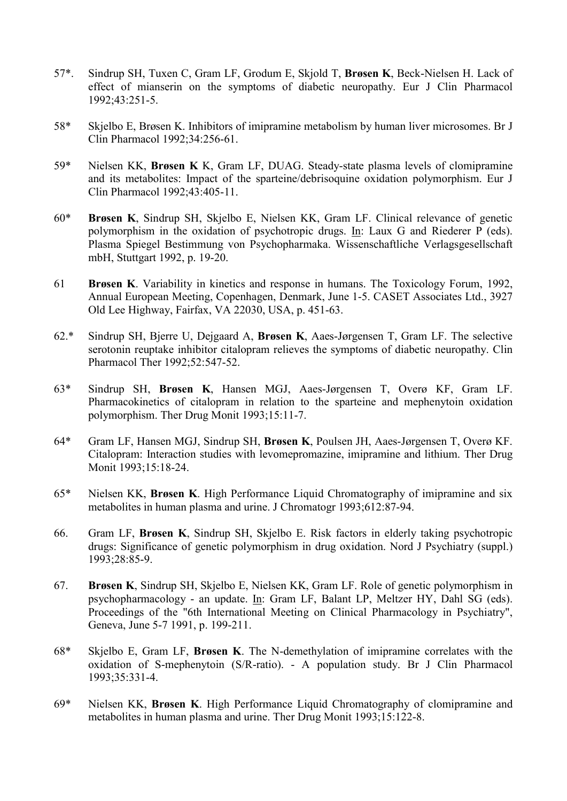- 57\*. Sindrup SH, Tuxen C, Gram LF, Grodum E, Skjold T, Brøsen K, Beck-Nielsen H. Lack of effect of mianserin on the symptoms of diabetic neuropathy. Eur J Clin Pharmacol 1992;43:251-5.
- 58\* Skjelbo E, Brøsen K. Inhibitors of imipramine metabolism by human liver microsomes. Br J Clin Pharmacol 1992;34:256-61.
- 59\* Nielsen KK, Brøsen K K, Gram LF, DUAG. Steady-state plasma levels of clomipramine and its metabolites: Impact of the sparteine/debrisoquine oxidation polymorphism. Eur J Clin Pharmacol 1992;43:405-11.
- 60\* Brøsen K, Sindrup SH, Skjelbo E, Nielsen KK, Gram LF. Clinical relevance of genetic polymorphism in the oxidation of psychotropic drugs. In: Laux G and Riederer P (eds). Plasma Spiegel Bestimmung von Psychopharmaka. Wissenschaftliche Verlagsgesellschaft mbH, Stuttgart 1992, p. 19-20.
- 61 Brøsen K. Variability in kinetics and response in humans. The Toxicology Forum, 1992, Annual European Meeting, Copenhagen, Denmark, June 1-5. CASET Associates Ltd., 3927 Old Lee Highway, Fairfax, VA 22030, USA, p. 451-63.
- 62.\* Sindrup SH, Bjerre U, Dejgaard A, Brøsen K, Aaes-Jørgensen T, Gram LF. The selective serotonin reuptake inhibitor citalopram relieves the symptoms of diabetic neuropathy. Clin Pharmacol Ther 1992;52:547-52.
- 63\* Sindrup SH, Brøsen K, Hansen MGJ, Aaes-Jørgensen T, Overø KF, Gram LF. Pharmacokinetics of citalopram in relation to the sparteine and mephenytoin oxidation polymorphism. Ther Drug Monit 1993;15:11-7.
- 64\* Gram LF, Hansen MGJ, Sindrup SH, Brøsen K, Poulsen JH, Aaes-Jørgensen T, Overø KF. Citalopram: Interaction studies with levomepromazine, imipramine and lithium. Ther Drug Monit 1993;15:18-24.
- 65\* Nielsen KK, Brøsen K. High Performance Liquid Chromatography of imipramine and six metabolites in human plasma and urine. J Chromatogr 1993;612:87-94.
- 66. Gram LF, Brøsen K, Sindrup SH, Skjelbo E. Risk factors in elderly taking psychotropic drugs: Significance of genetic polymorphism in drug oxidation. Nord J Psychiatry (suppl.) 1993;28:85-9.
- 67. Brøsen K, Sindrup SH, Skjelbo E, Nielsen KK, Gram LF. Role of genetic polymorphism in psychopharmacology - an update. In: Gram LF, Balant LP, Meltzer HY, Dahl SG (eds). Proceedings of the "6th International Meeting on Clinical Pharmacology in Psychiatry", Geneva, June 5-7 1991, p. 199-211.
- 68\* Skjelbo E, Gram LF, Brøsen K. The N-demethylation of imipramine correlates with the oxidation of S-mephenytoin (S/R-ratio). - A population study. Br J Clin Pharmacol 1993;35:331-4.
- 69\* Nielsen KK, Brøsen K. High Performance Liquid Chromatography of clomipramine and metabolites in human plasma and urine. Ther Drug Monit 1993;15:122-8.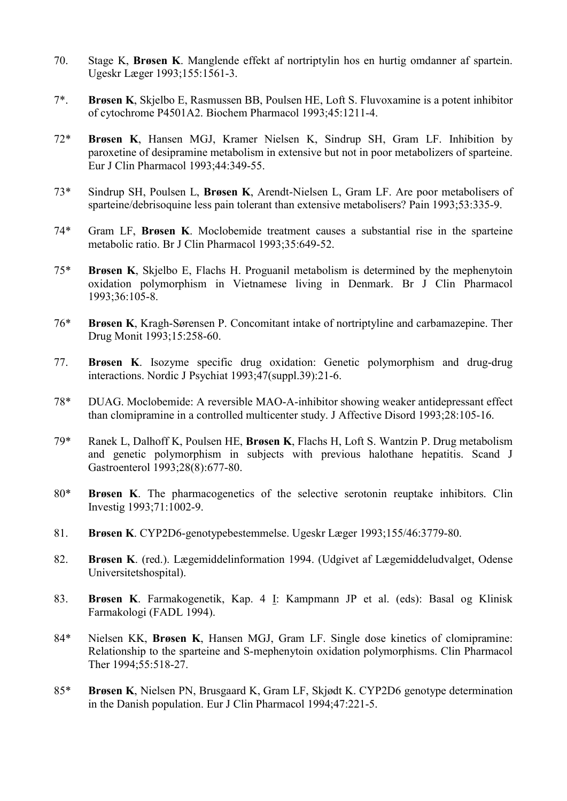- 70. Stage K, Brøsen K. Manglende effekt af nortriptylin hos en hurtig omdanner af spartein. Ugeskr Læger 1993;155:1561-3.
- 7\*. Brøsen K, Skjelbo E, Rasmussen BB, Poulsen HE, Loft S. Fluvoxamine is a potent inhibitor of cytochrome P4501A2. Biochem Pharmacol 1993;45:1211-4.
- 72\* Brøsen K, Hansen MGJ, Kramer Nielsen K, Sindrup SH, Gram LF. Inhibition by paroxetine of desipramine metabolism in extensive but not in poor metabolizers of sparteine. Eur J Clin Pharmacol 1993;44:349-55.
- 73\* Sindrup SH, Poulsen L, Brøsen K, Arendt-Nielsen L, Gram LF. Are poor metabolisers of sparteine/debrisoquine less pain tolerant than extensive metabolisers? Pain 1993;53:335-9.
- 74\* Gram LF, Brøsen K. Moclobemide treatment causes a substantial rise in the sparteine metabolic ratio. Br J Clin Pharmacol 1993;35:649-52.
- 75\* Brøsen K, Skjelbo E, Flachs H. Proguanil metabolism is determined by the mephenytoin oxidation polymorphism in Vietnamese living in Denmark. Br J Clin Pharmacol 1993;36:105-8.
- 76\* Brøsen K, Kragh-Sørensen P. Concomitant intake of nortriptyline and carbamazepine. Ther Drug Monit 1993;15:258-60.
- 77. Brøsen K. Isozyme specific drug oxidation: Genetic polymorphism and drug-drug interactions. Nordic J Psychiat 1993;47(suppl.39):21-6.
- 78\* DUAG. Moclobemide: A reversible MAO-A-inhibitor showing weaker antidepressant effect than clomipramine in a controlled multicenter study. J Affective Disord 1993;28:105-16.
- 79\* Ranek L, Dalhoff K, Poulsen HE, Brøsen K, Flachs H, Loft S. Wantzin P. Drug metabolism and genetic polymorphism in subjects with previous halothane hepatitis. Scand J Gastroenterol 1993;28(8):677-80.
- 80\* Brøsen K. The pharmacogenetics of the selective serotonin reuptake inhibitors. Clin Investig 1993;71:1002-9.
- 81. Brøsen K. CYP2D6-genotypebestemmelse. Ugeskr Læger 1993;155/46:3779-80.
- 82. Brøsen K. (red.). Lægemiddelinformation 1994. (Udgivet af Lægemiddeludvalget, Odense Universitetshospital).
- 83. Brøsen K. Farmakogenetik, Kap. 4 I: Kampmann JP et al. (eds): Basal og Klinisk Farmakologi (FADL 1994).
- 84\* Nielsen KK, Brøsen K, Hansen MGJ, Gram LF. Single dose kinetics of clomipramine: Relationship to the sparteine and S-mephenytoin oxidation polymorphisms. Clin Pharmacol Ther 1994;55:518-27.
- 85\* Brøsen K, Nielsen PN, Brusgaard K, Gram LF, Skjødt K. CYP2D6 genotype determination in the Danish population. Eur J Clin Pharmacol 1994;47:221-5.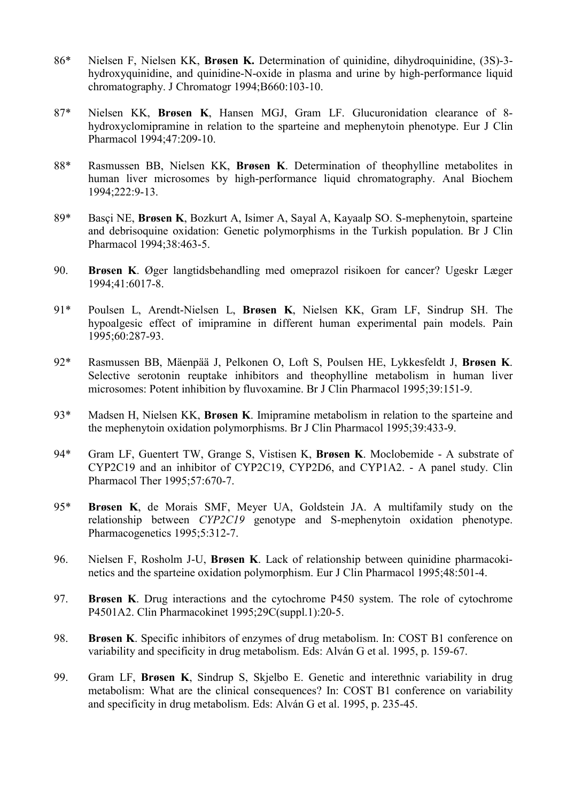- 86\* Nielsen F, Nielsen KK, Brøsen K. Determination of quinidine, dihydroquinidine, (3S)-3 hydroxyquinidine, and quinidine-N-oxide in plasma and urine by high-performance liquid chromatography. J Chromatogr 1994;B660:103-10.
- 87\* Nielsen KK, Brøsen K, Hansen MGJ, Gram LF. Glucuronidation clearance of 8 hydroxyclomipramine in relation to the sparteine and mephenytoin phenotype. Eur J Clin Pharmacol 1994;47:209-10.
- 88\* Rasmussen BB, Nielsen KK, Brøsen K. Determination of theophylline metabolites in human liver microsomes by high-performance liquid chromatography. Anal Biochem 1994;222:9-13.
- 89\* Basçi NE, Brøsen K, Bozkurt A, Isimer A, Sayal A, Kayaalp SO. S-mephenytoin, sparteine and debrisoquine oxidation: Genetic polymorphisms in the Turkish population. Br J Clin Pharmacol 1994;38:463-5.
- 90. Brøsen K. Øger langtidsbehandling med omeprazol risikoen for cancer? Ugeskr Læger 1994;41:6017-8.
- 91\* Poulsen L, Arendt-Nielsen L, Brøsen K, Nielsen KK, Gram LF, Sindrup SH. The hypoalgesic effect of imipramine in different human experimental pain models. Pain 1995;60:287-93.
- 92\* Rasmussen BB, Mäenpää J, Pelkonen O, Loft S, Poulsen HE, Lykkesfeldt J, Brøsen K. Selective serotonin reuptake inhibitors and theophylline metabolism in human liver microsomes: Potent inhibition by fluvoxamine. Br J Clin Pharmacol 1995;39:151-9.
- 93\* Madsen H, Nielsen KK, Brøsen K. Imipramine metabolism in relation to the sparteine and the mephenytoin oxidation polymorphisms. Br J Clin Pharmacol 1995;39:433-9.
- 94\* Gram LF, Guentert TW, Grange S, Vistisen K, Brøsen K. Moclobemide A substrate of CYP2C19 and an inhibitor of CYP2C19, CYP2D6, and CYP1A2. - A panel study. Clin Pharmacol Ther 1995;57:670-7.
- 95\* Brøsen K, de Morais SMF, Meyer UA, Goldstein JA. A multifamily study on the relationship between CYP2C19 genotype and S-mephenytoin oxidation phenotype. Pharmacogenetics 1995;5:312-7.
- 96. Nielsen F, Rosholm J-U, Brøsen K. Lack of relationship between quinidine pharmacokinetics and the sparteine oxidation polymorphism. Eur J Clin Pharmacol 1995;48:501-4.
- 97. Brøsen K. Drug interactions and the cytochrome P450 system. The role of cytochrome P4501A2. Clin Pharmacokinet 1995;29C(suppl.1):20-5.
- 98. Brøsen K. Specific inhibitors of enzymes of drug metabolism. In: COST B1 conference on variability and specificity in drug metabolism. Eds: Alván G et al. 1995, p. 159-67.
- 99. Gram LF, Brøsen K, Sindrup S, Skjelbo E. Genetic and interethnic variability in drug metabolism: What are the clinical consequences? In: COST B1 conference on variability and specificity in drug metabolism. Eds: Alván G et al. 1995, p. 235-45.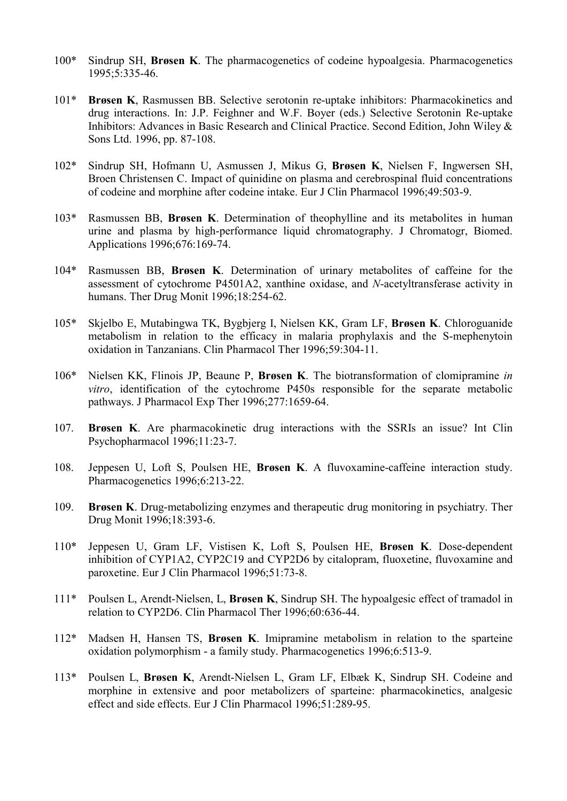- 100\* Sindrup SH, Brøsen K. The pharmacogenetics of codeine hypoalgesia. Pharmacogenetics 1995;5:335-46.
- 101\* Brøsen K, Rasmussen BB. Selective serotonin re-uptake inhibitors: Pharmacokinetics and drug interactions. In: J.P. Feighner and W.F. Boyer (eds.) Selective Serotonin Re-uptake Inhibitors: Advances in Basic Research and Clinical Practice. Second Edition, John Wiley & Sons Ltd. 1996, pp. 87-108.
- 102\* Sindrup SH, Hofmann U, Asmussen J, Mikus G, Brøsen K, Nielsen F, Ingwersen SH, Broen Christensen C. Impact of quinidine on plasma and cerebrospinal fluid concentrations of codeine and morphine after codeine intake. Eur J Clin Pharmacol 1996;49:503-9.
- 103\* Rasmussen BB, Brøsen K. Determination of theophylline and its metabolites in human urine and plasma by high-performance liquid chromatography. J Chromatogr, Biomed. Applications 1996;676:169-74.
- 104\* Rasmussen BB, Brøsen K. Determination of urinary metabolites of caffeine for the assessment of cytochrome P4501A2, xanthine oxidase, and N-acetyltransferase activity in humans. Ther Drug Monit 1996;18:254-62.
- 105\* Skjelbo E, Mutabingwa TK, Bygbjerg I, Nielsen KK, Gram LF, Brøsen K. Chloroguanide metabolism in relation to the efficacy in malaria prophylaxis and the S-mephenytoin oxidation in Tanzanians. Clin Pharmacol Ther 1996;59:304-11.
- 106\* Nielsen KK, Flinois JP, Beaune P, Brøsen K. The biotransformation of clomipramine in vitro, identification of the cytochrome P450s responsible for the separate metabolic pathways. J Pharmacol Exp Ther 1996;277:1659-64.
- 107. Brøsen K. Are pharmacokinetic drug interactions with the SSRIs an issue? Int Clin Psychopharmacol 1996;11:23-7.
- 108. Jeppesen U, Loft S, Poulsen HE, Brøsen K. A fluvoxamine-caffeine interaction study. Pharmacogenetics 1996;6:213-22.
- 109. Brøsen K. Drug-metabolizing enzymes and therapeutic drug monitoring in psychiatry. Ther Drug Monit 1996;18:393-6.
- 110\* Jeppesen U, Gram LF, Vistisen K, Loft S, Poulsen HE, Brøsen K. Dose-dependent inhibition of CYP1A2, CYP2C19 and CYP2D6 by citalopram, fluoxetine, fluvoxamine and paroxetine. Eur J Clin Pharmacol 1996;51:73-8.
- 111\* Poulsen L, Arendt-Nielsen, L, Brøsen K, Sindrup SH. The hypoalgesic effect of tramadol in relation to CYP2D6. Clin Pharmacol Ther 1996;60:636-44.
- 112\* Madsen H, Hansen TS, Brøsen K. Imipramine metabolism in relation to the sparteine oxidation polymorphism - a family study. Pharmacogenetics 1996;6:513-9.
- 113\* Poulsen L, Brøsen K, Arendt-Nielsen L, Gram LF, Elbæk K, Sindrup SH. Codeine and morphine in extensive and poor metabolizers of sparteine: pharmacokinetics, analgesic effect and side effects. Eur J Clin Pharmacol 1996;51:289-95.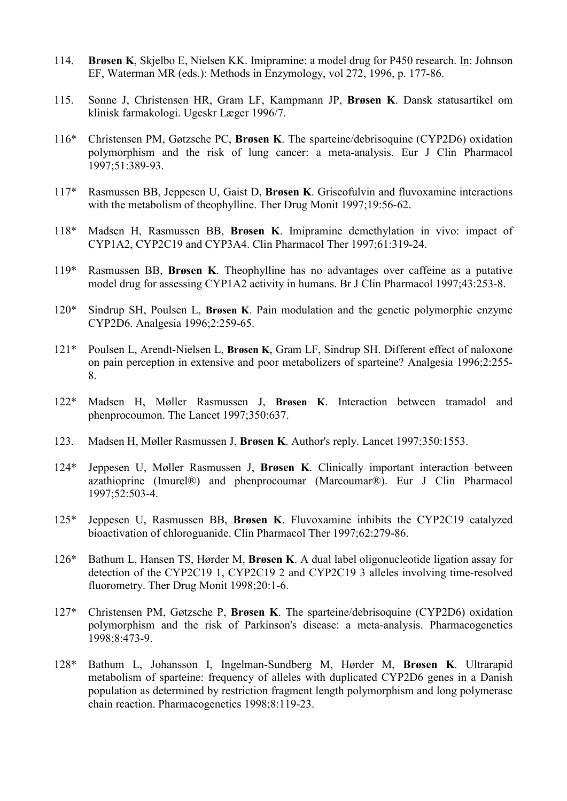- 114. Brøsen K, Skjelbo E, Nielsen KK. Imipramine: a model drug for P450 research. In: Johnson EF, Waterman MR (eds.): Methods in Enzymology, vol 272, 1996, p. 177-86.
- 115. Sonne J, Christensen HR, Gram LF, Kampmann JP, Brøsen K. Dansk statusartikel om klinisk farmakologi. Ugeskr Læger 1996/7.
- 116\* Christensen PM, Gøtzsche PC, Brøsen K. The sparteine/debrisoquine (CYP2D6) oxidation polymorphism and the risk of lung cancer: a meta-analysis. Eur J Clin Pharmacol 1997;51:389-93.
- 117\* Rasmussen BB, Jeppesen U, Gaist D, Brøsen K. Griseofulvin and fluvoxamine interactions with the metabolism of theophylline. Ther Drug Monit 1997;19:56-62.
- 118\* Madsen H, Rasmussen BB, Brøsen K. Imipramine demethylation in vivo: impact of CYP1A2, CYP2C19 and CYP3A4. Clin Pharmacol Ther 1997;61:319-24.
- 119\* Rasmussen BB, Brøsen K. Theophylline has no advantages over caffeine as a putative model drug for assessing CYP1A2 activity in humans. Br J Clin Pharmacol 1997;43:253-8.
- 120\* Sindrup SH, Poulsen L, Brøsen K. Pain modulation and the genetic polymorphic enzyme CYP2D6. Analgesia 1996;2:259-65.
- 121\* Poulsen L, Arendt-Nielsen L, Brøsen K, Gram LF, Sindrup SH. Different effect of naloxone on pain perception in extensive and poor metabolizers of sparteine? Analgesia 1996;2:255- 8.
- 122\* Madsen H, Møller Rasmussen J, Brøsen K. Interaction between tramadol and phenprocoumon. The Lancet 1997;350:637.
- 123. Madsen H, Møller Rasmussen J, Brøsen K. Author's reply. Lancet 1997;350:1553.
- 124\* Jeppesen U, Møller Rasmussen J, Brøsen K. Clinically important interaction between azathioprine (Imurel®) and phenprocoumar (Marcoumar®). Eur J Clin Pharmacol 1997;52:503-4.
- 125\* Jeppesen U, Rasmussen BB, Brøsen K. Fluvoxamine inhibits the CYP2C19 catalyzed bioactivation of chloroguanide. Clin Pharmacol Ther 1997;62:279-86.
- 126\* Bathum L, Hansen TS, Hørder M, Brøsen K. A dual label oligonucleotide ligation assay for detection of the CYP2C19 1, CYP2C19 2 and CYP2C19 3 alleles involving time-resolved fluorometry. Ther Drug Monit 1998;20:1-6.
- 127\* Christensen PM, Gøtzsche P, Brøsen K. The sparteine/debrisoquine (CYP2D6) oxidation polymorphism and the risk of Parkinson's disease: a meta-analysis. Pharmacogenetics 1998;8:473-9.
- 128\* Bathum L, Johansson I, Ingelman-Sundberg M, Hørder M, Brøsen K. Ultrarapid metabolism of sparteine: frequency of alleles with duplicated CYP2D6 genes in a Danish population as determined by restriction fragment length polymorphism and long polymerase chain reaction. Pharmacogenetics 1998;8:119-23.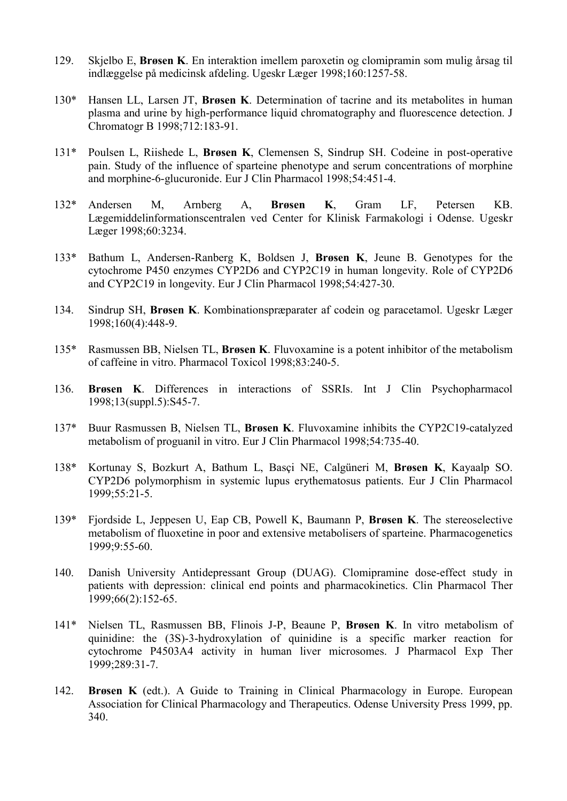- 129. Skjelbo E, Brøsen K. En interaktion imellem paroxetin og clomipramin som mulig årsag til indlæggelse på medicinsk afdeling. Ugeskr Læger 1998;160:1257-58.
- 130\* Hansen LL, Larsen JT, Brøsen K. Determination of tacrine and its metabolites in human plasma and urine by high-performance liquid chromatography and fluorescence detection. J Chromatogr B 1998;712:183-91.
- 131\* Poulsen L, Riishede L, Brøsen K, Clemensen S, Sindrup SH. Codeine in post-operative pain. Study of the influence of sparteine phenotype and serum concentrations of morphine and morphine-6-glucuronide. Eur J Clin Pharmacol 1998;54:451-4.
- 132\* Andersen M, Arnberg A, Brøsen K, Gram LF, Petersen KB. Lægemiddelinformationscentralen ved Center for Klinisk Farmakologi i Odense. Ugeskr Læger 1998;60:3234.
- 133\* Bathum L, Andersen-Ranberg K, Boldsen J, Brøsen K, Jeune B. Genotypes for the cytochrome P450 enzymes CYP2D6 and CYP2C19 in human longevity. Role of CYP2D6 and CYP2C19 in longevity. Eur J Clin Pharmacol 1998;54:427-30.
- 134. Sindrup SH, Brøsen K. Kombinationspræparater af codein og paracetamol. Ugeskr Læger 1998;160(4):448-9.
- 135\* Rasmussen BB, Nielsen TL, Brøsen K. Fluvoxamine is a potent inhibitor of the metabolism of caffeine in vitro. Pharmacol Toxicol 1998;83:240-5.
- 136. Brøsen K. Differences in interactions of SSRIs. Int J Clin Psychopharmacol 1998;13(suppl.5):S45-7.
- 137\* Buur Rasmussen B, Nielsen TL, Brøsen K. Fluvoxamine inhibits the CYP2C19-catalyzed metabolism of proguanil in vitro. Eur J Clin Pharmacol 1998;54:735-40.
- 138\* Kortunay S, Bozkurt A, Bathum L, Basçi NE, Calgüneri M, Brøsen K, Kayaalp SO. CYP2D6 polymorphism in systemic lupus erythematosus patients. Eur J Clin Pharmacol 1999;55:21-5.
- 139\* Fjordside L, Jeppesen U, Eap CB, Powell K, Baumann P, Brøsen K. The stereoselective metabolism of fluoxetine in poor and extensive metabolisers of sparteine. Pharmacogenetics 1999;9:55-60.
- 140. Danish University Antidepressant Group (DUAG). Clomipramine dose-effect study in patients with depression: clinical end points and pharmacokinetics. Clin Pharmacol Ther 1999;66(2):152-65.
- 141\* Nielsen TL, Rasmussen BB, Flinois J-P, Beaune P, Brøsen K. In vitro metabolism of quinidine: the (3S)-3-hydroxylation of quinidine is a specific marker reaction for cytochrome P4503A4 activity in human liver microsomes. J Pharmacol Exp Ther 1999;289:31-7.
- 142. Brøsen K (edt.). A Guide to Training in Clinical Pharmacology in Europe. European Association for Clinical Pharmacology and Therapeutics. Odense University Press 1999, pp. 340.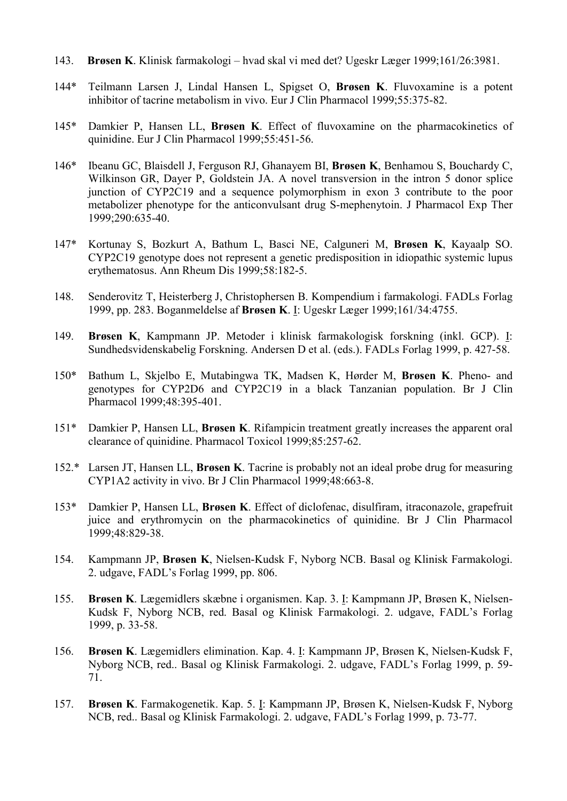- 143. Brøsen K. Klinisk farmakologi hvad skal vi med det? Ugeskr Læger 1999;161/26:3981.
- 144\* Teilmann Larsen J, Lindal Hansen L, Spigset O, Brøsen K. Fluvoxamine is a potent inhibitor of tacrine metabolism in vivo. Eur J Clin Pharmacol 1999;55:375-82.
- 145\* Damkier P, Hansen LL, Brøsen K. Effect of fluvoxamine on the pharmacokinetics of quinidine. Eur J Clin Pharmacol 1999;55:451-56.
- 146\* Ibeanu GC, Blaisdell J, Ferguson RJ, Ghanayem BI, Brøsen K, Benhamou S, Bouchardy C, Wilkinson GR, Dayer P, Goldstein JA. A novel transversion in the intron 5 donor splice junction of CYP2C19 and a sequence polymorphism in exon 3 contribute to the poor metabolizer phenotype for the anticonvulsant drug S-mephenytoin. J Pharmacol Exp Ther 1999;290:635-40.
- 147\* Kortunay S, Bozkurt A, Bathum L, Basci NE, Calguneri M, Brøsen K, Kayaalp SO. CYP2C19 genotype does not represent a genetic predisposition in idiopathic systemic lupus erythematosus. Ann Rheum Dis 1999;58:182-5.
- 148. Senderovitz T, Heisterberg J, Christophersen B. Kompendium i farmakologi. FADLs Forlag 1999, pp. 283. Boganmeldelse af Brøsen K. I: Ugeskr Læger 1999;161/34:4755.
- 149. Brøsen K, Kampmann JP. Metoder i klinisk farmakologisk forskning (inkl. GCP). I: Sundhedsvidenskabelig Forskning. Andersen D et al. (eds.). FADLs Forlag 1999, p. 427-58.
- 150\* Bathum L, Skjelbo E, Mutabingwa TK, Madsen K, Hørder M, Brøsen K. Pheno- and genotypes for CYP2D6 and CYP2C19 in a black Tanzanian population. Br J Clin Pharmacol 1999;48:395-401.
- 151\* Damkier P, Hansen LL, Brøsen K. Rifampicin treatment greatly increases the apparent oral clearance of quinidine. Pharmacol Toxicol 1999;85:257-62.
- 152.\* Larsen JT, Hansen LL, Brøsen K. Tacrine is probably not an ideal probe drug for measuring CYP1A2 activity in vivo. Br J Clin Pharmacol 1999;48:663-8.
- 153\* Damkier P, Hansen LL, Brøsen K. Effect of diclofenac, disulfiram, itraconazole, grapefruit juice and erythromycin on the pharmacokinetics of quinidine. Br J Clin Pharmacol 1999;48:829-38.
- 154. Kampmann JP, Brøsen K, Nielsen-Kudsk F, Nyborg NCB. Basal og Klinisk Farmakologi. 2. udgave, FADL's Forlag 1999, pp. 806.
- 155. Brøsen K. Lægemidlers skæbne i organismen. Kap. 3. I: Kampmann JP, Brøsen K, Nielsen-Kudsk F, Nyborg NCB, red. Basal og Klinisk Farmakologi. 2. udgave, FADL's Forlag 1999, p. 33-58.
- 156. Brøsen K. Lægemidlers elimination. Kap. 4. I: Kampmann JP, Brøsen K, Nielsen-Kudsk F, Nyborg NCB, red.. Basal og Klinisk Farmakologi. 2. udgave, FADL's Forlag 1999, p. 59- 71.
- 157. Brøsen K. Farmakogenetik. Kap. 5. I: Kampmann JP, Brøsen K, Nielsen-Kudsk F, Nyborg NCB, red.. Basal og Klinisk Farmakologi. 2. udgave, FADL's Forlag 1999, p. 73-77.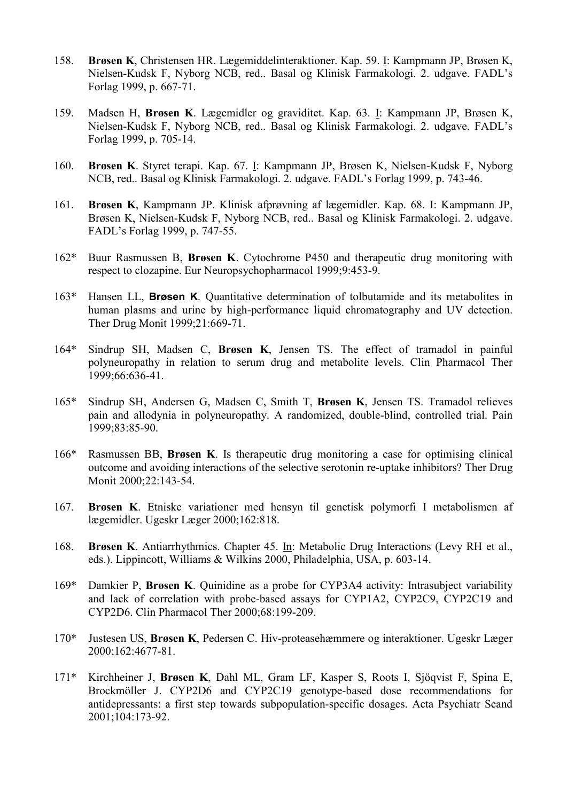- 158. Brøsen K, Christensen HR. Lægemiddelinteraktioner. Kap. 59. I: Kampmann JP, Brøsen K, Nielsen-Kudsk F, Nyborg NCB, red.. Basal og Klinisk Farmakologi. 2. udgave. FADL's Forlag 1999, p. 667-71.
- 159. Madsen H, Brøsen K. Lægemidler og graviditet. Kap. 63. I: Kampmann JP, Brøsen K, Nielsen-Kudsk F, Nyborg NCB, red.. Basal og Klinisk Farmakologi. 2. udgave. FADL's Forlag 1999, p. 705-14.
- 160. Brøsen K. Styret terapi. Kap. 67. I: Kampmann JP, Brøsen K, Nielsen-Kudsk F, Nyborg NCB, red.. Basal og Klinisk Farmakologi. 2. udgave. FADL's Forlag 1999, p. 743-46.
- 161. Brøsen K, Kampmann JP. Klinisk afprøvning af lægemidler. Kap. 68. I: Kampmann JP, Brøsen K, Nielsen-Kudsk F, Nyborg NCB, red.. Basal og Klinisk Farmakologi. 2. udgave. FADL's Forlag 1999, p. 747-55.
- 162\* Buur Rasmussen B, Brøsen K. Cytochrome P450 and therapeutic drug monitoring with respect to clozapine. Eur Neuropsychopharmacol 1999;9:453-9.
- 163\* Hansen LL, Brøsen K. Quantitative determination of tolbutamide and its metabolites in human plasms and urine by high-performance liquid chromatography and UV detection. Ther Drug Monit 1999;21:669-71.
- 164\* Sindrup SH, Madsen C, Brøsen K, Jensen TS. The effect of tramadol in painful polyneuropathy in relation to serum drug and metabolite levels. Clin Pharmacol Ther 1999;66:636-41.
- 165\* Sindrup SH, Andersen G, Madsen C, Smith T, Brøsen K, Jensen TS. Tramadol relieves pain and allodynia in polyneuropathy. A randomized, double-blind, controlled trial. Pain 1999;83:85-90.
- 166\* Rasmussen BB, Brøsen K. Is therapeutic drug monitoring a case for optimising clinical outcome and avoiding interactions of the selective serotonin re-uptake inhibitors? Ther Drug Monit 2000;22:143-54.
- 167. Brøsen K. Etniske variationer med hensyn til genetisk polymorfi I metabolismen af lægemidler. Ugeskr Læger 2000;162:818.
- 168. Brøsen K. Antiarrhythmics. Chapter 45. In: Metabolic Drug Interactions (Levy RH et al., eds.). Lippincott, Williams & Wilkins 2000, Philadelphia, USA, p. 603-14.
- 169\* Damkier P, Brøsen K. Quinidine as a probe for CYP3A4 activity: Intrasubject variability and lack of correlation with probe-based assays for CYP1A2, CYP2C9, CYP2C19 and CYP2D6. Clin Pharmacol Ther 2000;68:199-209.
- 170\* Justesen US, Brøsen K, Pedersen C. Hiv-proteasehæmmere og interaktioner. Ugeskr Læger 2000;162:4677-81.
- 171\* Kirchheiner J, Brøsen K, Dahl ML, Gram LF, Kasper S, Roots I, Sjöqvist F, Spina E, Brockmöller J. CYP2D6 and CYP2C19 genotype-based dose recommendations for antidepressants: a first step towards subpopulation-specific dosages. Acta Psychiatr Scand 2001;104:173-92.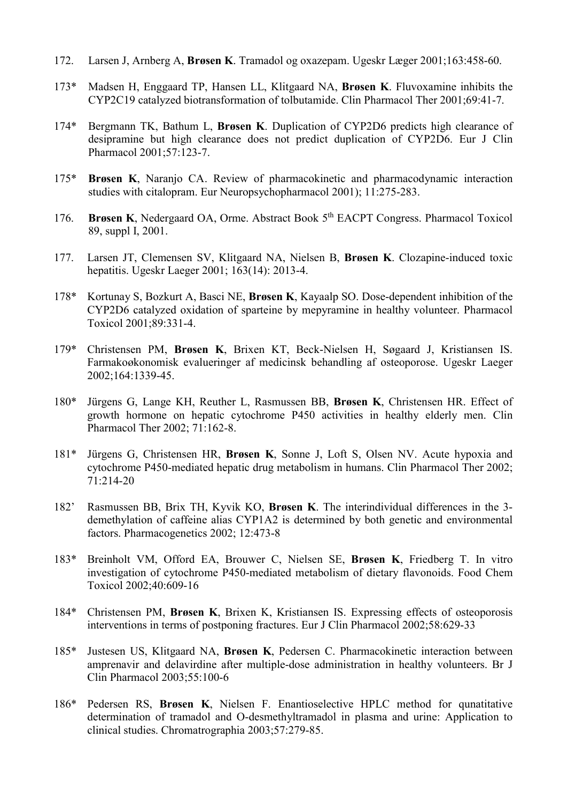- 172. Larsen J, Arnberg A, Brøsen K. Tramadol og oxazepam. Ugeskr Læger 2001;163:458-60.
- 173\* Madsen H, Enggaard TP, Hansen LL, Klitgaard NA, Brøsen K. Fluvoxamine inhibits the CYP2C19 catalyzed biotransformation of tolbutamide. Clin Pharmacol Ther 2001;69:41-7.
- 174\* Bergmann TK, Bathum L, Brøsen K. Duplication of CYP2D6 predicts high clearance of desipramine but high clearance does not predict duplication of CYP2D6. Eur J Clin Pharmacol 2001;57:123-7.
- 175\* Brøsen K, Naranjo CA. Review of pharmacokinetic and pharmacodynamic interaction studies with citalopram. Eur Neuropsychopharmacol 2001); 11:275-283.
- 176. Brøsen K, Nedergaard OA, Orme. Abstract Book 5<sup>th</sup> EACPT Congress. Pharmacol Toxicol 89, suppl I, 2001.
- 177. Larsen JT, Clemensen SV, Klitgaard NA, Nielsen B, Brøsen K. Clozapine-induced toxic hepatitis. Ugeskr Laeger 2001; 163(14): 2013-4.
- 178\* Kortunay S, Bozkurt A, Basci NE, Brøsen K, Kayaalp SO. Dose-dependent inhibition of the CYP2D6 catalyzed oxidation of sparteine by mepyramine in healthy volunteer. Pharmacol Toxicol 2001;89:331-4.
- 179\* Christensen PM, Brøsen K, Brixen KT, Beck-Nielsen H, Søgaard J, Kristiansen IS. Farmakoøkonomisk evalueringer af medicinsk behandling af osteoporose. Ugeskr Laeger 2002;164:1339-45.
- 180\* Jürgens G, Lange KH, Reuther L, Rasmussen BB, Brøsen K, Christensen HR. Effect of growth hormone on hepatic cytochrome P450 activities in healthy elderly men. Clin Pharmacol Ther 2002; 71:162-8.
- 181\* Jürgens G, Christensen HR, Brøsen K, Sonne J, Loft S, Olsen NV. Acute hypoxia and cytochrome P450-mediated hepatic drug metabolism in humans. Clin Pharmacol Ther 2002; 71:214-20
- 182' Rasmussen BB, Brix TH, Kyvik KO, Brøsen K. The interindividual differences in the 3 demethylation of caffeine alias CYP1A2 is determined by both genetic and environmental factors. Pharmacogenetics 2002; 12:473-8
- 183\* Breinholt VM, Offord EA, Brouwer C, Nielsen SE, Brøsen K, Friedberg T. In vitro investigation of cytochrome P450-mediated metabolism of dietary flavonoids. Food Chem Toxicol 2002;40:609-16
- 184\* Christensen PM, Brøsen K, Brixen K, Kristiansen IS. Expressing effects of osteoporosis interventions in terms of postponing fractures. Eur J Clin Pharmacol 2002;58:629-33
- 185\* Justesen US, Klitgaard NA, Brøsen K, Pedersen C. Pharmacokinetic interaction between amprenavir and delavirdine after multiple-dose administration in healthy volunteers. Br J Clin Pharmacol 2003;55:100-6
- 186\* Pedersen RS, Brøsen K, Nielsen F. Enantioselective HPLC method for qunatitative determination of tramadol and O-desmethyltramadol in plasma and urine: Application to clinical studies. Chromatrographia 2003;57:279-85.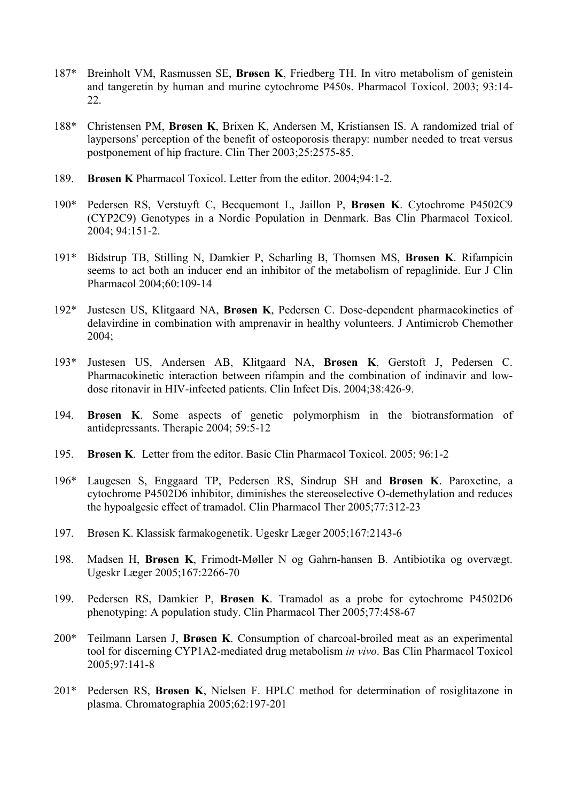- 187\* Breinholt VM, Rasmussen SE, Brøsen K, Friedberg TH. In vitro metabolism of genistein and tangeretin by human and murine cytochrome P450s. Pharmacol Toxicol. 2003; 93:14- 22.
- 188\* Christensen PM, Brøsen K, Brixen K, Andersen M, Kristiansen IS. A randomized trial of laypersons' perception of the benefit of osteoporosis therapy: number needed to treat versus postponement of hip fracture. Clin Ther 2003;25:2575-85.
- 189. Brøsen K Pharmacol Toxicol. Letter from the editor. 2004;94:1-2.
- 190\* Pedersen RS, Verstuyft C, Becquemont L, Jaillon P, Brøsen K. Cytochrome P4502C9 (CYP2C9) Genotypes in a Nordic Population in Denmark. Bas Clin Pharmacol Toxicol. 2004; 94:151-2.
- 191\* Bidstrup TB, Stilling N, Damkier P, Scharling B, Thomsen MS, Brøsen K. Rifampicin seems to act both an inducer end an inhibitor of the metabolism of repaglinide. Eur J Clin Pharmacol 2004;60:109-14
- 192\* Justesen US, Klitgaard NA, Brøsen K, Pedersen C. Dose-dependent pharmacokinetics of delavirdine in combination with amprenavir in healthy volunteers. J Antimicrob Chemother 2004;
- 193\* Justesen US, Andersen AB, Klitgaard NA, Brøsen K, Gerstoft J, Pedersen C. Pharmacokinetic interaction between rifampin and the combination of indinavir and lowdose ritonavir in HIV-infected patients. Clin Infect Dis. 2004;38:426-9.
- 194. Brøsen K. Some aspects of genetic polymorphism in the biotransformation of antidepressants. Therapie 2004; 59:5-12
- 195. Brøsen K. Letter from the editor. Basic Clin Pharmacol Toxicol. 2005; 96:1-2
- 196\* Laugesen S, Enggaard TP, Pedersen RS, Sindrup SH and Brøsen K. Paroxetine, a cytochrome P4502D6 inhibitor, diminishes the stereoselective O-demethylation and reduces the hypoalgesic effect of tramadol. Clin Pharmacol Ther 2005;77:312-23
- 197. Brøsen K. Klassisk farmakogenetik. Ugeskr Læger 2005;167:2143-6
- 198. Madsen H, Brøsen K, Frimodt-Møller N og Gahrn-hansen B. Antibiotika og overvægt. Ugeskr Læger 2005;167:2266-70
- 199. Pedersen RS, Damkier P, Brøsen K. Tramadol as a probe for cytochrome P4502D6 phenotyping: A population study. Clin Pharmacol Ther 2005;77:458-67
- 200\* Teilmann Larsen J, Brøsen K. Consumption of charcoal-broiled meat as an experimental tool for discerning CYP1A2-mediated drug metabolism in vivo. Bas Clin Pharmacol Toxicol 2005;97:141-8
- 201\* Pedersen RS, Brøsen K, Nielsen F. HPLC method for determination of rosiglitazone in plasma. Chromatographia 2005;62:197-201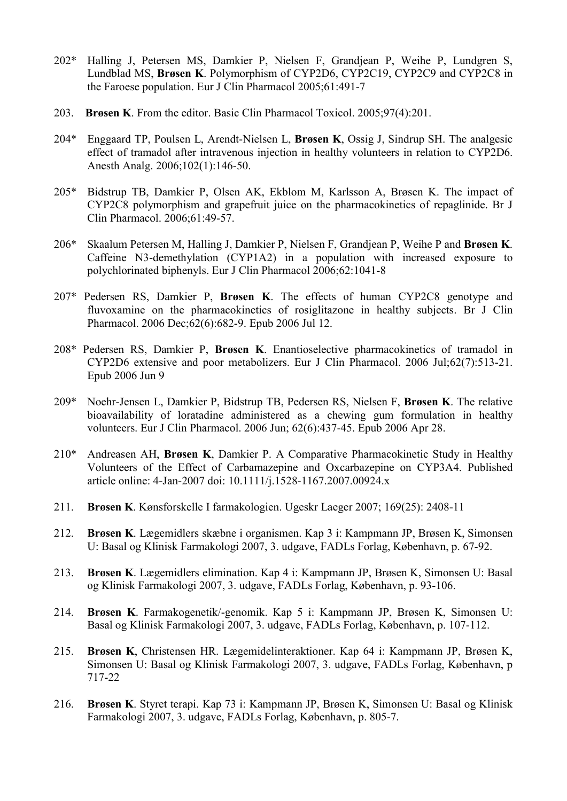- 202\* Halling J, Petersen MS, Damkier P, Nielsen F, Grandjean P, Weihe P, Lundgren S, Lundblad MS, Brøsen K. Polymorphism of CYP2D6, CYP2C19, CYP2C9 and CYP2C8 in the Faroese population. Eur J Clin Pharmacol 2005;61:491-7
- 203. Brøsen K. From the editor. Basic Clin Pharmacol Toxicol. 2005;97(4):201.
- 204\* Enggaard TP, Poulsen L, Arendt-Nielsen L, Brøsen K, Ossig J, Sindrup SH. The analgesic effect of tramadol after intravenous injection in healthy volunteers in relation to CYP2D6. Anesth Analg. 2006;102(1):146-50.
- 205\* Bidstrup TB, Damkier P, Olsen AK, Ekblom M, Karlsson A, Brøsen K. The impact of CYP2C8 polymorphism and grapefruit juice on the pharmacokinetics of repaglinide. Br J Clin Pharmacol. 2006;61:49-57.
- 206\* Skaalum Petersen M, Halling J, Damkier P, Nielsen F, Grandjean P, Weihe P and Brøsen K. Caffeine N3-demethylation (CYP1A2) in a population with increased exposure to polychlorinated biphenyls. Eur J Clin Pharmacol 2006;62:1041-8
- 207\* Pedersen RS, Damkier P, Brøsen K. The effects of human CYP2C8 genotype and fluvoxamine on the pharmacokinetics of rosiglitazone in healthy subjects. Br J Clin Pharmacol. 2006 Dec;62(6):682-9. Epub 2006 Jul 12.
- 208\* Pedersen RS, Damkier P, Brøsen K. Enantioselective pharmacokinetics of tramadol in CYP2D6 extensive and poor metabolizers. Eur J Clin Pharmacol. 2006 Jul;62(7):513-21. Epub 2006 Jun 9
- 209\* Noehr-Jensen L, Damkier P, Bidstrup TB, Pedersen RS, Nielsen F, Brøsen K. The relative bioavailability of loratadine administered as a chewing gum formulation in healthy volunteers. Eur J Clin Pharmacol. 2006 Jun; 62(6):437-45. Epub 2006 Apr 28.
- 210\* Andreasen AH, Brøsen K, Damkier P. A Comparative Pharmacokinetic Study in Healthy Volunteers of the Effect of Carbamazepine and Oxcarbazepine on CYP3A4. Published article online: 4-Jan-2007 doi: 10.1111/j.1528-1167.2007.00924.x
- 211. Brøsen K. Kønsforskelle I farmakologien. Ugeskr Laeger 2007; 169(25): 2408-11
- 212. Brøsen K. Lægemidlers skæbne i organismen. Kap 3 i: Kampmann JP, Brøsen K, Simonsen U: Basal og Klinisk Farmakologi 2007, 3. udgave, FADLs Forlag, København, p. 67-92.
- 213. Brøsen K. Lægemidlers elimination. Kap 4 i: Kampmann JP, Brøsen K, Simonsen U: Basal og Klinisk Farmakologi 2007, 3. udgave, FADLs Forlag, København, p. 93-106.
- 214. Brøsen K. Farmakogenetik/-genomik. Kap 5 i: Kampmann JP, Brøsen K, Simonsen U: Basal og Klinisk Farmakologi 2007, 3. udgave, FADLs Forlag, København, p. 107-112.
- 215. Brøsen K, Christensen HR. Lægemidelinteraktioner. Kap 64 i: Kampmann JP, Brøsen K, Simonsen U: Basal og Klinisk Farmakologi 2007, 3. udgave, FADLs Forlag, København, p 717-22
- 216. Brøsen K. Styret terapi. Kap 73 i: Kampmann JP, Brøsen K, Simonsen U: Basal og Klinisk Farmakologi 2007, 3. udgave, FADLs Forlag, København, p. 805-7.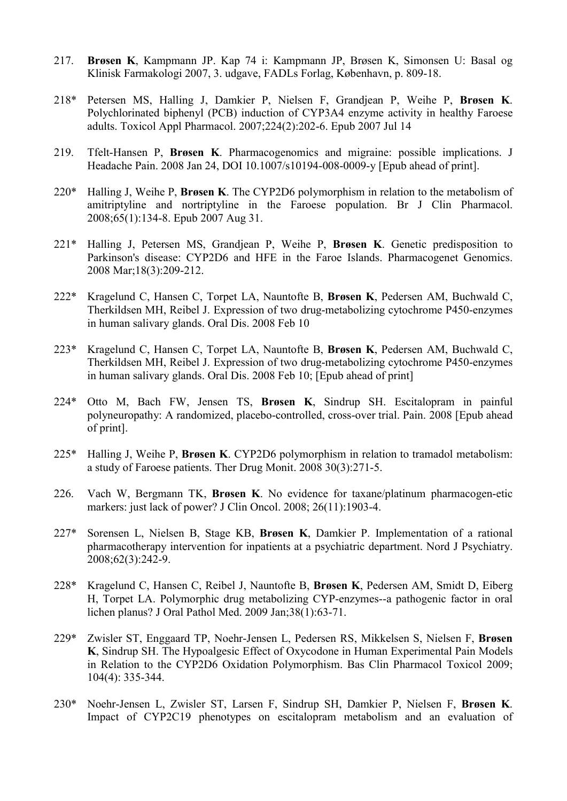- 217. Brøsen K, Kampmann JP. Kap 74 i: Kampmann JP, Brøsen K, Simonsen U: Basal og Klinisk Farmakologi 2007, 3. udgave, FADLs Forlag, København, p. 809-18.
- 218\* Petersen MS, Halling J, Damkier P, Nielsen F, Grandjean P, Weihe P, Brøsen K. Polychlorinated biphenyl (PCB) induction of CYP3A4 enzyme activity in healthy Faroese adults. Toxicol Appl Pharmacol. 2007;224(2):202-6. Epub 2007 Jul 14
- 219. Tfelt-Hansen P, Brøsen K. Pharmacogenomics and migraine: possible implications. J Headache Pain. 2008 Jan 24, DOI 10.1007/s10194-008-0009-y [Epub ahead of print].
- 220\* Halling J, Weihe P, Brøsen K. The CYP2D6 polymorphism in relation to the metabolism of amitriptyline and nortriptyline in the Faroese population. Br J Clin Pharmacol. 2008;65(1):134-8. Epub 2007 Aug 31.
- 221\* Halling J, Petersen MS, Grandjean P, Weihe P, Brøsen K. Genetic predisposition to Parkinson's disease: CYP2D6 and HFE in the Faroe Islands. Pharmacogenet Genomics. 2008 Mar;18(3):209-212.
- 222\* Kragelund C, Hansen C, Torpet LA, Nauntofte B, Brøsen K, Pedersen AM, Buchwald C, Therkildsen MH, Reibel J. Expression of two drug-metabolizing cytochrome P450-enzymes in human salivary glands. Oral Dis. 2008 Feb 10
- 223\* Kragelund C, Hansen C, Torpet LA, Nauntofte B, Brøsen K, Pedersen AM, Buchwald C, Therkildsen MH, Reibel J. Expression of two drug-metabolizing cytochrome P450-enzymes in human salivary glands. Oral Dis. 2008 Feb 10; [Epub ahead of print]
- 224\* Otto M, Bach FW, Jensen TS, Brøsen K, Sindrup SH. Escitalopram in painful polyneuropathy: A randomized, placebo-controlled, cross-over trial. Pain. 2008 [Epub ahead of print].
- 225\* Halling J, Weihe P, Brøsen K. CYP2D6 polymorphism in relation to tramadol metabolism: a study of Faroese patients. Ther Drug Monit. 2008 30(3):271-5.
- 226. Vach W, Bergmann TK, Brøsen K. No evidence for taxane/platinum pharmacogen-etic markers: just lack of power? J Clin Oncol. 2008; 26(11):1903-4.
- 227\* Sorensen L, Nielsen B, Stage KB, Brøsen K, Damkier P. Implementation of a rational pharmacotherapy intervention for inpatients at a psychiatric department. Nord J Psychiatry. 2008;62(3):242-9.
- 228\* Kragelund C, Hansen C, Reibel J, Nauntofte B, Brøsen K, Pedersen AM, Smidt D, Eiberg H, Torpet LA. Polymorphic drug metabolizing CYP-enzymes--a pathogenic factor in oral lichen planus? J Oral Pathol Med. 2009 Jan;38(1):63-71.
- 229\* Zwisler ST, Enggaard TP, Noehr-Jensen L, Pedersen RS, Mikkelsen S, Nielsen F, Brøsen K, Sindrup SH. The Hypoalgesic Effect of Oxycodone in Human Experimental Pain Models in Relation to the CYP2D6 Oxidation Polymorphism. Bas Clin Pharmacol Toxicol 2009; 104(4): 335-344.
- 230\* Noehr-Jensen L, Zwisler ST, Larsen F, Sindrup SH, Damkier P, Nielsen F, Brøsen K. Impact of CYP2C19 phenotypes on escitalopram metabolism and an evaluation of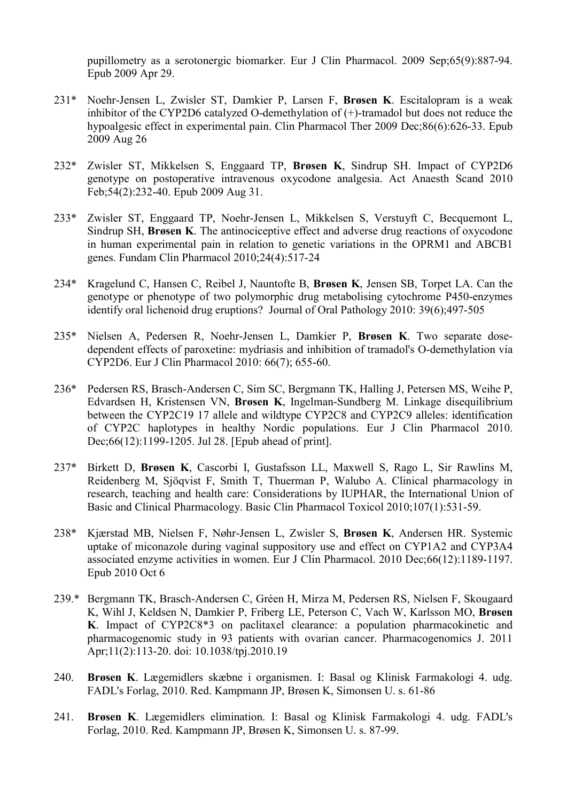pupillometry as a serotonergic biomarker. Eur J Clin Pharmacol. 2009 Sep;65(9):887-94. Epub 2009 Apr 29.

- 231\* Noehr-Jensen L, Zwisler ST, Damkier P, Larsen F, Brøsen K. Escitalopram is a weak inhibitor of the CYP2D6 catalyzed O-demethylation of (+)-tramadol but does not reduce the hypoalgesic effect in experimental pain. Clin Pharmacol Ther 2009 Dec;86(6):626-33. Epub 2009 Aug 26
- 232\* Zwisler ST, Mikkelsen S, Enggaard TP, Brøsen K, Sindrup SH. Impact of CYP2D6 genotype on postoperative intravenous oxycodone analgesia. Act Anaesth Scand 2010 Feb;54(2):232-40. Epub 2009 Aug 31.
- 233\* Zwisler ST, Enggaard TP, Noehr-Jensen L, Mikkelsen S, Verstuyft C, Becquemont L, Sindrup SH, Brøsen K. The antinociceptive effect and adverse drug reactions of oxycodone in human experimental pain in relation to genetic variations in the OPRM1 and ABCB1 genes. Fundam Clin Pharmacol 2010;24(4):517-24
- 234\* Kragelund C, Hansen C, Reibel J, Nauntofte B, Brøsen K, Jensen SB, Torpet LA. Can the genotype or phenotype of two polymorphic drug metabolising cytochrome P450-enzymes identify oral lichenoid drug eruptions? Journal of Oral Pathology 2010: 39(6);497-505
- 235\* Nielsen A, Pedersen R, Noehr-Jensen L, Damkier P, Brøsen K. Two separate dosedependent effects of paroxetine: mydriasis and inhibition of tramadol's O-demethylation via CYP2D6. Eur J Clin Pharmacol 2010: 66(7); 655-60.
- 236\* Pedersen RS, Brasch-Andersen C, Sim SC, Bergmann TK, Halling J, Petersen MS, Weihe P, Edvardsen H, Kristensen VN, Brøsen K, Ingelman-Sundberg M. Linkage disequilibrium between the CYP2C19 17 allele and wildtype CYP2C8 and CYP2C9 alleles: identification of CYP2C haplotypes in healthy Nordic populations. Eur J Clin Pharmacol 2010. Dec;66(12):1199-1205. Jul 28. [Epub ahead of print].
- 237\* Birkett D, Brøsen K, Cascorbi I, Gustafsson LL, Maxwell S, Rago L, Sir Rawlins M, Reidenberg M, Sjöqvist F, Smith T, Thuerman P, Walubo A. Clinical pharmacology in research, teaching and health care: Considerations by IUPHAR, the International Union of Basic and Clinical Pharmacology. Basic Clin Pharmacol Toxicol 2010;107(1):531-59.
- 238\* Kjærstad MB, Nielsen F, Nøhr-Jensen L, Zwisler S, Brøsen K, Andersen HR. Systemic uptake of miconazole during vaginal suppository use and effect on CYP1A2 and CYP3A4 associated enzyme activities in women. Eur J Clin Pharmacol. 2010 Dec;66(12):1189-1197. Epub 2010 Oct 6
- 239.\* Bergmann TK, Brasch-Andersen C, Gréen H, Mirza M, Pedersen RS, Nielsen F, Skougaard K, Wihl J, Keldsen N, Damkier P, Friberg LE, Peterson C, Vach W, Karlsson MO, Brøsen K. Impact of CYP2C8\*3 on paclitaxel clearance: a population pharmacokinetic and pharmacogenomic study in 93 patients with ovarian cancer. Pharmacogenomics J. 2011 Apr;11(2):113-20. doi: 10.1038/tpj.2010.19
- 240. Brøsen K. Lægemidlers skæbne i organismen. I: Basal og Klinisk Farmakologi 4. udg. FADL's Forlag, 2010. Red. Kampmann JP, Brøsen K, Simonsen U. s. 61-86
- 241. Brøsen K. Lægemidlers elimination. I: Basal og Klinisk Farmakologi 4. udg. FADL's Forlag, 2010. Red. Kampmann JP, Brøsen K, Simonsen U. s. 87-99.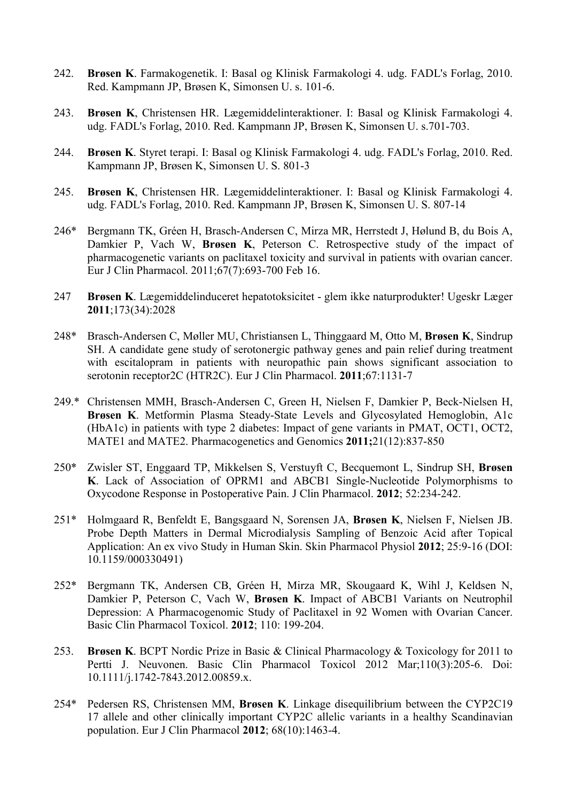- 242. Brøsen K. Farmakogenetik. I: Basal og Klinisk Farmakologi 4. udg. FADL's Forlag, 2010. Red. Kampmann JP, Brøsen K, Simonsen U. s. 101-6.
- 243. Brøsen K, Christensen HR. Lægemiddelinteraktioner. I: Basal og Klinisk Farmakologi 4. udg. FADL's Forlag, 2010. Red. Kampmann JP, Brøsen K, Simonsen U. s.701-703.
- 244. Brøsen K. Styret terapi. I: Basal og Klinisk Farmakologi 4. udg. FADL's Forlag, 2010. Red. Kampmann JP, Brøsen K, Simonsen U. S. 801-3
- 245. Brøsen K, Christensen HR. Lægemiddelinteraktioner. I: Basal og Klinisk Farmakologi 4. udg. FADL's Forlag, 2010. Red. Kampmann JP, Brøsen K, Simonsen U. S. 807-14
- 246\* Bergmann TK, Gréen H, Brasch-Andersen C, Mirza MR, Herrstedt J, Hølund B, du Bois A, Damkier P, Vach W, Brøsen K, Peterson C. Retrospective study of the impact of pharmacogenetic variants on paclitaxel toxicity and survival in patients with ovarian cancer. Eur J Clin Pharmacol. 2011;67(7):693-700 Feb 16.
- 247 Brøsen K. Lægemiddelinduceret hepatotoksicitet glem ikke naturprodukter! Ugeskr Læger 2011;173(34):2028
- 248\* Brasch-Andersen C, Møller MU, Christiansen L, Thinggaard M, Otto M, Brøsen K, Sindrup SH. A candidate gene study of serotonergic pathway genes and pain relief during treatment with escitalopram in patients with neuropathic pain shows significant association to serotonin receptor2C (HTR2C). Eur J Clin Pharmacol. 2011;67:1131-7
- 249.\* Christensen MMH, Brasch-Andersen C, Green H, Nielsen F, Damkier P, Beck-Nielsen H, Brøsen K. Metformin Plasma Steady-State Levels and Glycosylated Hemoglobin, A1c (HbA1c) in patients with type 2 diabetes: Impact of gene variants in PMAT, OCT1, OCT2, MATE1 and MATE2. Pharmacogenetics and Genomics 2011;21(12):837-850
- 250\* Zwisler ST, Enggaard TP, Mikkelsen S, Verstuyft C, Becquemont L, Sindrup SH, Brøsen K. Lack of Association of OPRM1 and ABCB1 Single-Nucleotide Polymorphisms to Oxycodone Response in Postoperative Pain. J Clin Pharmacol. 2012; 52:234-242.
- 251\* Holmgaard R, Benfeldt E, Bangsgaard N, Sorensen JA, Brøsen K, Nielsen F, Nielsen JB. Probe Depth Matters in Dermal Microdialysis Sampling of Benzoic Acid after Topical Application: An ex vivo Study in Human Skin. Skin Pharmacol Physiol 2012; 25:9-16 (DOI: 10.1159/000330491)
- 252\* Bergmann TK, Andersen CB, Gréen H, Mirza MR, Skougaard K, Wihl J, Keldsen N, Damkier P, Peterson C, Vach W, Brøsen K. Impact of ABCB1 Variants on Neutrophil Depression: A Pharmacogenomic Study of Paclitaxel in 92 Women with Ovarian Cancer. Basic Clin Pharmacol Toxicol. 2012; 110: 199-204.
- 253. Brøsen K. BCPT Nordic Prize in Basic & Clinical Pharmacology & Toxicology for 2011 to Pertti J. Neuvonen. Basic Clin Pharmacol Toxicol 2012 Mar;110(3):205-6. Doi: 10.1111/j.1742-7843.2012.00859.x.
- 254\* Pedersen RS, Christensen MM, Brøsen K. Linkage disequilibrium between the CYP2C19 17 allele and other clinically important CYP2C allelic variants in a healthy Scandinavian population. Eur J Clin Pharmacol 2012; 68(10):1463-4.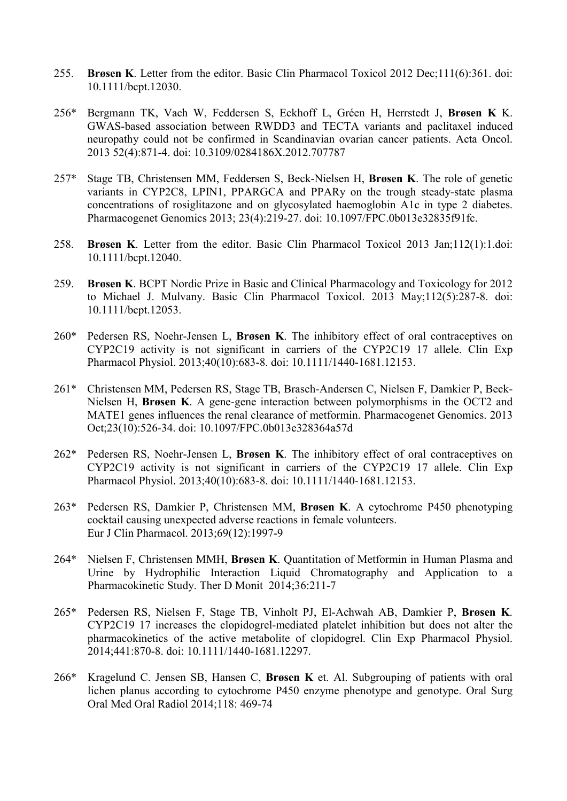- 255. Brøsen K. Letter from the editor. Basic Clin Pharmacol Toxicol 2012 Dec;111(6):361. doi: 10.1111/bcpt.12030.
- 256\* Bergmann TK, Vach W, Feddersen S, Eckhoff L, Gréen H, Herrstedt J, Brøsen K K. GWAS-based association between RWDD3 and TECTA variants and paclitaxel induced neuropathy could not be confirmed in Scandinavian ovarian cancer patients. Acta Oncol. 2013 52(4):871-4. doi: 10.3109/0284186X.2012.707787
- 257\* Stage TB, Christensen MM, Feddersen S, Beck-Nielsen H, Brøsen K. The role of genetic variants in CYP2C8, LPIN1, PPARGCA and PPARy on the trough steady-state plasma concentrations of rosiglitazone and on glycosylated haemoglobin A1c in type 2 diabetes. Pharmacogenet Genomics 2013; 23(4):219-27. doi: 10.1097/FPC.0b013e32835f91fc.
- 258. Brøsen K. Letter from the editor. Basic Clin Pharmacol Toxicol 2013 Jan;112(1):1.doi: 10.1111/bcpt.12040.
- 259. Brøsen K. BCPT Nordic Prize in Basic and Clinical Pharmacology and Toxicology for 2012 to Michael J. Mulvany. Basic Clin Pharmacol Toxicol. 2013 May;112(5):287-8. doi: 10.1111/bcpt.12053.
- 260\* Pedersen RS, Noehr-Jensen L, Brøsen K. The inhibitory effect of oral contraceptives on CYP2C19 activity is not significant in carriers of the CYP2C19 17 allele. Clin Exp Pharmacol Physiol. 2013;40(10):683-8. doi: 10.1111/1440-1681.12153.
- 261\* Christensen MM, Pedersen RS, Stage TB, Brasch-Andersen C, Nielsen F, Damkier P, Beck-Nielsen H, Brøsen K. A gene-gene interaction between polymorphisms in the OCT2 and MATE1 genes influences the renal clearance of metformin. Pharmacogenet Genomics. 2013 Oct;23(10):526-34. doi: 10.1097/FPC.0b013e328364a57d
- 262\* Pedersen RS, Noehr-Jensen L, Brøsen K. The inhibitory effect of oral contraceptives on CYP2C19 activity is not significant in carriers of the CYP2C19 17 allele. Clin Exp Pharmacol Physiol. 2013;40(10):683-8. doi: 10.1111/1440-1681.12153.
- 263\* Pedersen RS, Damkier P, Christensen MM, Brøsen K. A cytochrome P450 phenotyping cocktail causing unexpected adverse reactions in female volunteers. Eur J Clin Pharmacol. 2013;69(12):1997-9
- 264\* Nielsen F, Christensen MMH, Brøsen K. Quantitation of Metformin in Human Plasma and Urine by Hydrophilic Interaction Liquid Chromatography and Application to a Pharmacokinetic Study. Ther D Monit 2014;36:211-7
- 265\* Pedersen RS, Nielsen F, Stage TB, Vinholt PJ, El-Achwah AB, Damkier P, Brøsen K. CYP2C19 17 increases the clopidogrel-mediated platelet inhibition but does not alter the pharmacokinetics of the active metabolite of clopidogrel. Clin Exp Pharmacol Physiol. 2014;441:870-8. doi: 10.1111/1440-1681.12297.
- 266\* Kragelund C. Jensen SB, Hansen C, Brøsen K et. Al. Subgrouping of patients with oral lichen planus according to cytochrome P450 enzyme phenotype and genotype. Oral Surg Oral Med Oral Radiol 2014;118: 469-74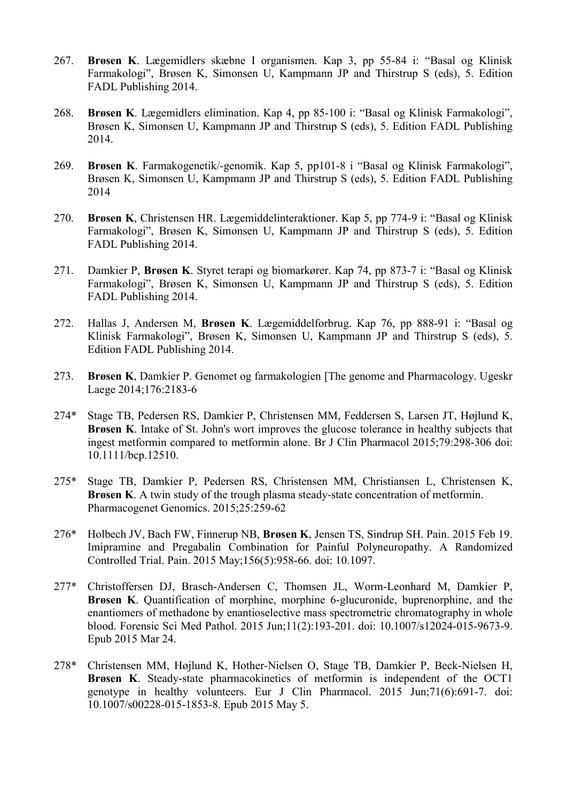- 267. Brøsen K. Lægemidlers skæbne I organismen. Kap 3, pp 55-84 i: "Basal og Klinisk Farmakologi", Brøsen K, Simonsen U, Kampmann JP and Thirstrup S (eds), 5. Edition FADL Publishing 2014.
- 268. Brøsen K. Lægemidlers elimination. Kap 4, pp 85-100 i: "Basal og Klinisk Farmakologi", Brøsen K, Simonsen U, Kampmann JP and Thirstrup S (eds), 5. Edition FADL Publishing 2014.
- 269. Brøsen K. Farmakogenetik/-genomik. Kap 5, pp101-8 i "Basal og Klinisk Farmakologi", Brøsen K, Simonsen U, Kampmann JP and Thirstrup S (eds), 5. Edition FADL Publishing 2014
- 270. Brøsen K, Christensen HR. Lægemiddelinteraktioner. Kap 5, pp 774-9 i: "Basal og Klinisk Farmakologi", Brøsen K, Simonsen U, Kampmann JP and Thirstrup S (eds), 5. Edition FADL Publishing 2014.
- 271. Damkier P, Brøsen K. Styret terapi og biomarkører. Kap 74, pp 873-7 i: "Basal og Klinisk Farmakologi", Brøsen K, Simonsen U, Kampmann JP and Thirstrup S (eds), 5. Edition FADL Publishing 2014.
- 272. Hallas J, Andersen M, Brøsen K. Lægemiddelforbrug. Kap 76, pp 888-91 i: "Basal og Klinisk Farmakologi", Brøsen K, Simonsen U, Kampmann JP and Thirstrup S (eds), 5. Edition FADL Publishing 2014.
- 273. Brøsen K, Damkier P. Genomet og farmakologien The genome and Pharmacology. Ugeskr Laege 2014;176:2183-6
- 274\* Stage TB, Pedersen RS, Damkier P, Christensen MM, Feddersen S, Larsen JT, Højlund K, Brøsen K. Intake of St. John's wort improves the glucose tolerance in healthy subjects that ingest metformin compared to metformin alone. Br J Clin Pharmacol 2015;79:298-306 doi: 10.1111/bcp.12510.
- 275\* Stage TB, Damkier P, Pedersen RS, Christensen MM, Christiansen L, Christensen K, Brøsen K. A twin study of the trough plasma steady-state concentration of metformin. Pharmacogenet Genomics. 2015;25:259-62
- 276\* Holbech JV, Bach FW, Finnerup NB, Brøsen K, Jensen TS, Sindrup SH. Pain. 2015 Feb 19. Imipramine and Pregabalin Combination for Painful Polyneuropathy. A Randomized Controlled Trial. Pain. 2015 May;156(5):958-66. doi: 10.1097.
- 277\* Christoffersen DJ, Brasch-Andersen C, Thomsen JL, Worm-Leonhard M, Damkier P, Brøsen K. Quantification of morphine, morphine 6-glucuronide, buprenorphine, and the enantiomers of methadone by enantioselective mass spectrometric chromatography in whole blood. Forensic Sci Med Pathol. 2015 Jun;11(2):193-201. doi: 10.1007/s12024-015-9673-9. Epub 2015 Mar 24.
- 278\* Christensen MM, Højlund K, Hother-Nielsen O, Stage TB, Damkier P, Beck-Nielsen H, Brøsen K. Steady-state pharmacokinetics of metformin is independent of the OCT1 genotype in healthy volunteers. Eur J Clin Pharmacol. 2015 Jun;71(6):691-7. doi: 10.1007/s00228-015-1853-8. Epub 2015 May 5.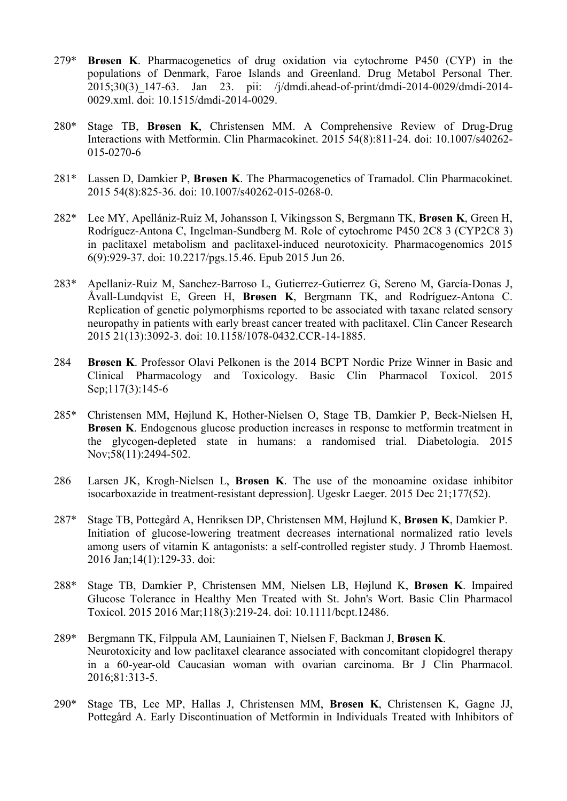- 279\* Brøsen K. Pharmacogenetics of drug oxidation via cytochrome P450 (CYP) in the populations of Denmark, Faroe Islands and Greenland. Drug Metabol Personal Ther. 2015;30(3)\_147-63. Jan 23. pii: /j/dmdi.ahead-of-print/dmdi-2014-0029/dmdi-2014- 0029.xml. doi: 10.1515/dmdi-2014-0029.
- 280\* Stage TB, Brøsen K, Christensen MM. A Comprehensive Review of Drug-Drug Interactions with Metformin. Clin Pharmacokinet. 2015 54(8):811-24. doi: 10.1007/s40262- 015-0270-6
- 281\* Lassen D, Damkier P, Brøsen K. The Pharmacogenetics of Tramadol. Clin Pharmacokinet. 2015 54(8):825-36. doi: 10.1007/s40262-015-0268-0.
- 282\* Lee MY, Apellániz-Ruiz M, Johansson I, Vikingsson S, Bergmann TK, Brøsen K, Green H, Rodríguez-Antona C, Ingelman-Sundberg M. Role of cytochrome P450 2C8 3 (CYP2C8 3) in paclitaxel metabolism and paclitaxel-induced neurotoxicity. Pharmacogenomics 2015 6(9):929-37. doi: 10.2217/pgs.15.46. Epub 2015 Jun 26.
- 283\* Apellaniz-Ruiz M, Sanchez-Barroso L, Gutierrez-Gutierrez G, Sereno M, García-Donas J, Åvall-Lundqvist E, Green H, Brøsen K, Bergmann TK, and Rodríguez-Antona C. Replication of genetic polymorphisms reported to be associated with taxane related sensory neuropathy in patients with early breast cancer treated with paclitaxel. Clin Cancer Research 2015 21(13):3092-3. doi: 10.1158/1078-0432.CCR-14-1885.
- 284 Brøsen K. Professor Olavi Pelkonen is the 2014 BCPT Nordic Prize Winner in Basic and Clinical Pharmacology and Toxicology. Basic Clin Pharmacol Toxicol. 2015 Sep;117(3):145-6
- 285\* Christensen MM, Højlund K, Hother-Nielsen O, Stage TB, Damkier P, Beck-Nielsen H, Brøsen K. Endogenous glucose production increases in response to metformin treatment in the glycogen-depleted state in humans: a randomised trial. Diabetologia. 2015 Nov;58(11):2494-502.
- 286 Larsen JK, Krogh-Nielsen L, Brøsen K. The use of the monoamine oxidase inhibitor isocarboxazide in treatment-resistant depression]. Ugeskr Laeger. 2015 Dec 21;177(52).
- 287\* Stage TB, Pottegård A, Henriksen DP, Christensen MM, Højlund K, Brøsen K, Damkier P. Initiation of glucose-lowering treatment decreases international normalized ratio levels among users of vitamin K antagonists: a self-controlled register study. J Thromb Haemost. 2016 Jan;14(1):129-33. doi:
- 288\* Stage TB, Damkier P, Christensen MM, Nielsen LB, Højlund K, Brøsen K. Impaired Glucose Tolerance in Healthy Men Treated with St. John's Wort. Basic Clin Pharmacol Toxicol. 2015 2016 Mar;118(3):219-24. doi: 10.1111/bcpt.12486.
- 289\* Bergmann TK, Filppula AM, Launiainen T, Nielsen F, Backman J, Brøsen K. Neurotoxicity and low paclitaxel clearance associated with concomitant clopidogrel therapy in a 60-year-old Caucasian woman with ovarian carcinoma. Br J Clin Pharmacol. 2016;81:313-5.
- 290\* Stage TB, Lee MP, Hallas J, Christensen MM, Brøsen K, Christensen K, Gagne JJ, Pottegård A. Early Discontinuation of Metformin in Individuals Treated with Inhibitors of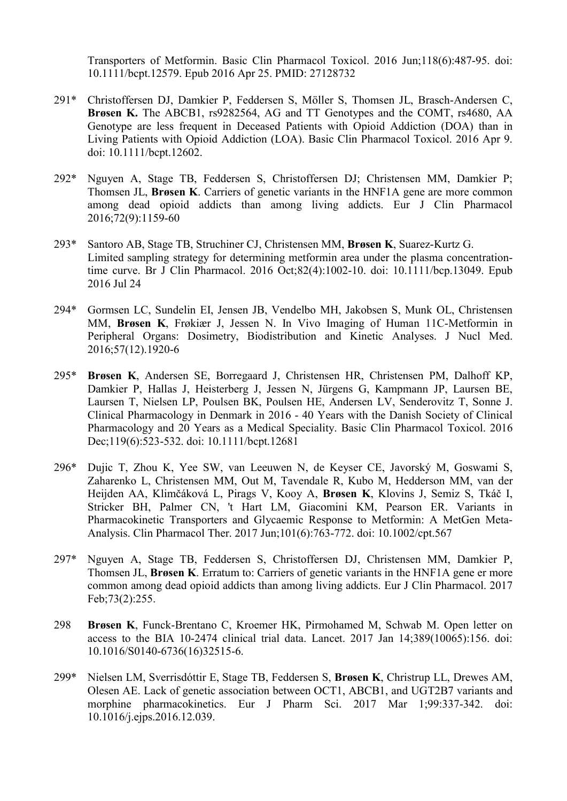Transporters of Metformin. Basic Clin Pharmacol Toxicol. 2016 Jun;118(6):487-95. doi: 10.1111/bcpt.12579. Epub 2016 Apr 25. PMID: 27128732

- 291\* Christoffersen DJ, Damkier P, Feddersen S, Möller S, Thomsen JL, Brasch-Andersen C, Brøsen K. The ABCB1, rs9282564, AG and TT Genotypes and the COMT, rs4680, AA Genotype are less frequent in Deceased Patients with Opioid Addiction (DOA) than in Living Patients with Opioid Addiction (LOA). Basic Clin Pharmacol Toxicol. 2016 Apr 9. doi: 10.1111/bcpt.12602.
- 292\* Nguyen A, Stage TB, Feddersen S, Christoffersen DJ; Christensen MM, Damkier P; Thomsen JL, Brøsen K. Carriers of genetic variants in the HNF1A gene are more common among dead opioid addicts than among living addicts. Eur J Clin Pharmacol 2016;72(9):1159-60
- 293\* Santoro AB, Stage TB, Struchiner CJ, Christensen MM, Brøsen K, Suarez-Kurtz G. Limited sampling strategy for determining metformin area under the plasma concentrationtime curve. Br J Clin Pharmacol. 2016 Oct;82(4):1002-10. doi: 10.1111/bcp.13049. Epub 2016 Jul 24
- 294\* Gormsen LC, Sundelin EI, Jensen JB, Vendelbo MH, Jakobsen S, Munk OL, Christensen MM, Brøsen K, Frøkiær J, Jessen N. In Vivo Imaging of Human 11C-Metformin in Peripheral Organs: Dosimetry, Biodistribution and Kinetic Analyses. J Nucl Med. 2016;57(12).1920-6
- 295\* Brøsen K, Andersen SE, Borregaard J, Christensen HR, Christensen PM, Dalhoff KP, Damkier P, Hallas J, Heisterberg J, Jessen N, Jürgens G, Kampmann JP, Laursen BE, Laursen T, Nielsen LP, Poulsen BK, Poulsen HE, Andersen LV, Senderovitz T, Sonne J. Clinical Pharmacology in Denmark in 2016 - 40 Years with the Danish Society of Clinical Pharmacology and 20 Years as a Medical Speciality. Basic Clin Pharmacol Toxicol. 2016 Dec;119(6):523-532. doi: 10.1111/bcpt.12681
- 296\* Dujic T, Zhou K, Yee SW, van Leeuwen N, de Keyser CE, Javorský M, Goswami S, Zaharenko L, Christensen MM, Out M, Tavendale R, Kubo M, Hedderson MM, van der Heijden AA, Klimčáková L, Pirags V, Kooy A, Brøsen K, Klovins J, Semiz S, Tkáč I, Stricker BH, Palmer CN, 't Hart LM, Giacomini KM, Pearson ER. Variants in Pharmacokinetic Transporters and Glycaemic Response to Metformin: A MetGen Meta-Analysis. Clin Pharmacol Ther. 2017 Jun;101(6):763-772. doi: 10.1002/cpt.567
- 297\* Nguyen A, Stage TB, Feddersen S, Christoffersen DJ, Christensen MM, Damkier P, Thomsen JL, Brøsen K. Erratum to: Carriers of genetic variants in the HNF1A gene er more common among dead opioid addicts than among living addicts. Eur J Clin Pharmacol. 2017 Feb;73(2):255.
- 298 Brøsen K, Funck-Brentano C, Kroemer HK, Pirmohamed M, Schwab M. Open letter on access to the BIA 10-2474 clinical trial data. Lancet. 2017 Jan 14;389(10065):156. doi: 10.1016/S0140-6736(16)32515-6.
- 299\* Nielsen LM, Sverrisdóttir E, Stage TB, Feddersen S, Brøsen K, Christrup LL, Drewes AM, Olesen AE. Lack of genetic association between OCT1, ABCB1, and UGT2B7 variants and morphine pharmacokinetics. Eur J Pharm Sci. 2017 Mar 1;99:337-342. doi: 10.1016/j.ejps.2016.12.039.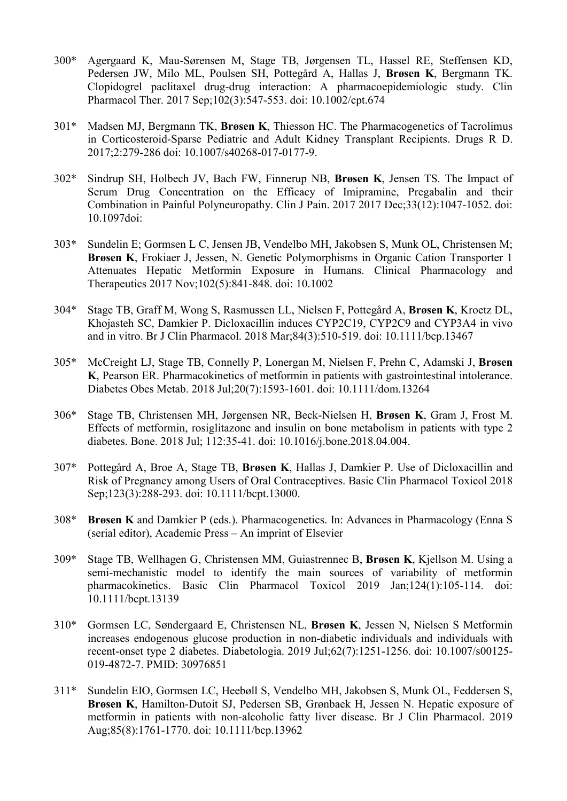- 300\* Agergaard K, Mau-Sørensen M, Stage TB, Jørgensen TL, Hassel RE, Steffensen KD, Pedersen JW, Milo ML, Poulsen SH, Pottegård A, Hallas J, Brøsen K, Bergmann TK. Clopidogrel paclitaxel drug-drug interaction: A pharmacoepidemiologic study. Clin Pharmacol Ther. 2017 Sep;102(3):547-553. doi: 10.1002/cpt.674
- 301\* Madsen MJ, Bergmann TK, Brøsen K, Thiesson HC. The Pharmacogenetics of Tacrolimus in Corticosteroid-Sparse Pediatric and Adult Kidney Transplant Recipients. Drugs R D. 2017;2:279-286 doi: 10.1007/s40268-017-0177-9.
- 302\* Sindrup SH, Holbech JV, Bach FW, Finnerup NB, Brøsen K, Jensen TS. The Impact of Serum Drug Concentration on the Efficacy of Imipramine, Pregabalin and their Combination in Painful Polyneuropathy. Clin J Pain. 2017 2017 Dec;33(12):1047-1052. doi: 10.1097doi:
- 303\* Sundelin E; Gormsen L C, Jensen JB, Vendelbo MH, Jakobsen S, Munk OL, Christensen M; Brøsen K, Frokiaer J, Jessen, N. Genetic Polymorphisms in Organic Cation Transporter 1 Attenuates Hepatic Metformin Exposure in Humans. Clinical Pharmacology and Therapeutics 2017 Nov;102(5):841-848. doi: 10.1002
- 304\* Stage TB, Graff M, Wong S, Rasmussen LL, Nielsen F, Pottegård A, Brøsen K, Kroetz DL, Khojasteh SC, Damkier P. Dicloxacillin induces CYP2C19, CYP2C9 and CYP3A4 in vivo and in vitro. Br J Clin Pharmacol. 2018 Mar;84(3):510-519. doi: 10.1111/bcp.13467
- 305\* McCreight LJ, Stage TB, Connelly P, Lonergan M, Nielsen F, Prehn C, Adamski J, Brøsen K, Pearson ER. Pharmacokinetics of metformin in patients with gastrointestinal intolerance. Diabetes Obes Metab. 2018 Jul;20(7):1593-1601. doi: 10.1111/dom.13264
- 306\* Stage TB, Christensen MH, Jørgensen NR, Beck-Nielsen H, Brøsen K, Gram J, Frost M. Effects of metformin, rosiglitazone and insulin on bone metabolism in patients with type 2 diabetes. Bone. 2018 Jul; 112:35-41. doi: 10.1016/j.bone.2018.04.004.
- 307\* Pottegård A, Broe A, Stage TB, Brøsen K, Hallas J, Damkier P. Use of Dicloxacillin and Risk of Pregnancy among Users of Oral Contraceptives. Basic Clin Pharmacol Toxicol 2018 Sep;123(3):288-293. doi: 10.1111/bcpt.13000.
- 308\* Brøsen K and Damkier P (eds.). Pharmacogenetics. In: Advances in Pharmacology (Enna S (serial editor), Academic Press – An imprint of Elsevier
- 309\* Stage TB, Wellhagen G, Christensen MM, Guiastrennec B, Brøsen K, Kjellson M. Using a semi-mechanistic model to identify the main sources of variability of metformin pharmacokinetics. Basic Clin Pharmacol Toxicol 2019 Jan;124(1):105-114. doi: 10.1111/bcpt.13139
- 310\* Gormsen LC, Søndergaard E, Christensen NL, Brøsen K, Jessen N, Nielsen S Metformin increases endogenous glucose production in non-diabetic individuals and individuals with recent-onset type 2 diabetes. Diabetologia. 2019 Jul;62(7):1251-1256. doi: 10.1007/s00125- 019-4872-7. PMID: 30976851
- 311\* Sundelin EIO, Gormsen LC, Heebøll S, Vendelbo MH, Jakobsen S, Munk OL, Feddersen S, Brøsen K, Hamilton-Dutoit SJ, Pedersen SB, Grønbaek H, Jessen N. Hepatic exposure of metformin in patients with non-alcoholic fatty liver disease. Br J Clin Pharmacol. 2019 Aug;85(8):1761-1770. doi: 10.1111/bcp.13962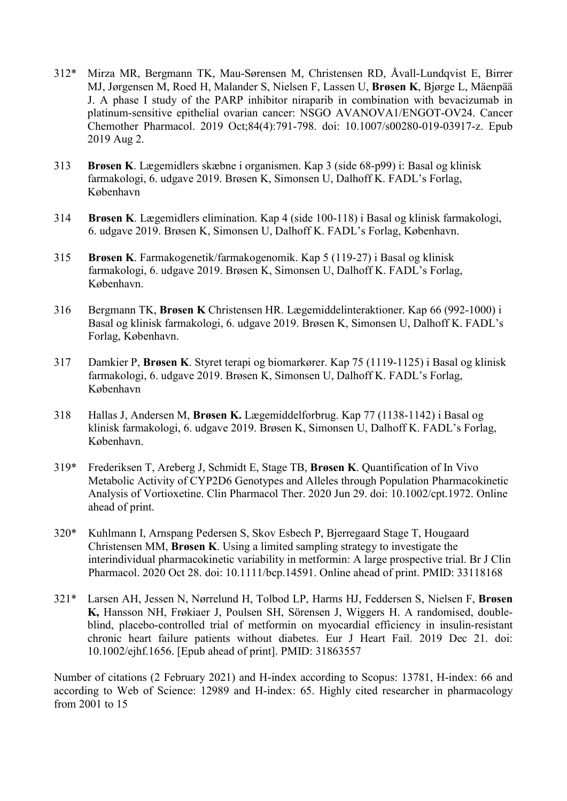- 312\* Mirza MR, Bergmann TK, Mau-Sørensen M, Christensen RD, Åvall-Lundqvist E, Birrer MJ, Jørgensen M, Roed H, Malander S, Nielsen F, Lassen U, Brøsen K, Bjørge L, Mäenpää J. A phase I study of the PARP inhibitor niraparib in combination with bevacizumab in platinum-sensitive epithelial ovarian cancer: NSGO AVANOVA1/ENGOT-OV24. Cancer Chemother Pharmacol. 2019 Oct;84(4):791-798. doi: 10.1007/s00280-019-03917-z. Epub 2019 Aug 2.
- 313 Brøsen K. Lægemidlers skæbne i organismen. Kap 3 (side 68-p99) i: Basal og klinisk farmakologi, 6. udgave 2019. Brøsen K, Simonsen U, Dalhoff K. FADL's Forlag, København
- 314 Brøsen K. Lægemidlers elimination. Kap 4 (side 100-118) i Basal og klinisk farmakologi, 6. udgave 2019. Brøsen K, Simonsen U, Dalhoff K. FADL's Forlag, København.
- 315 Brøsen K. Farmakogenetik/farmakogenomik. Kap 5 (119-27) i Basal og klinisk farmakologi, 6. udgave 2019. Brøsen K, Simonsen U, Dalhoff K. FADL's Forlag, København.
- 316 Bergmann TK, Brøsen K Christensen HR. Lægemiddelinteraktioner. Kap 66 (992-1000) i Basal og klinisk farmakologi, 6. udgave 2019. Brøsen K, Simonsen U, Dalhoff K. FADL's Forlag, København.
- 317 Damkier P, Brøsen K. Styret terapi og biomarkører. Kap 75 (1119-1125) i Basal og klinisk farmakologi, 6. udgave 2019. Brøsen K, Simonsen U, Dalhoff K. FADL's Forlag, København
- 318 Hallas J, Andersen M, Brøsen K. Lægemiddelforbrug. Kap 77 (1138-1142) i Basal og klinisk farmakologi, 6. udgave 2019. Brøsen K, Simonsen U, Dalhoff K. FADL's Forlag, København.
- 319\* Frederiksen T, Areberg J, Schmidt E, Stage TB, Brøsen K. Quantification of In Vivo Metabolic Activity of CYP2D6 Genotypes and Alleles through Population Pharmacokinetic Analysis of Vortioxetine. Clin Pharmacol Ther. 2020 Jun 29. doi: 10.1002/cpt.1972. Online ahead of print.
- 320\* Kuhlmann I, Arnspang Pedersen S, Skov Esbech P, Bjerregaard Stage T, Hougaard Christensen MM, Brøsen K. Using a limited sampling strategy to investigate the interindividual pharmacokinetic variability in metformin: A large prospective trial. Br J Clin Pharmacol. 2020 Oct 28. doi: 10.1111/bcp.14591. Online ahead of print. PMID: 33118168
- 321\* Larsen AH, Jessen N, Nørrelund H, Tolbod LP, Harms HJ, Feddersen S, Nielsen F, Brøsen K, Hansson NH, Frøkiaer J, Poulsen SH, Sörensen J, Wiggers H. A randomised, doubleblind, placebo-controlled trial of metformin on myocardial efficiency in insulin-resistant chronic heart failure patients without diabetes. Eur J Heart Fail. 2019 Dec 21. doi: 10.1002/ejhf.1656. [Epub ahead of print]. PMID: 31863557

Number of citations (2 February 2021) and H-index according to Scopus: 13781, H-index: 66 and according to Web of Science: 12989 and H-index: 65. Highly cited researcher in pharmacology from 2001 to 15